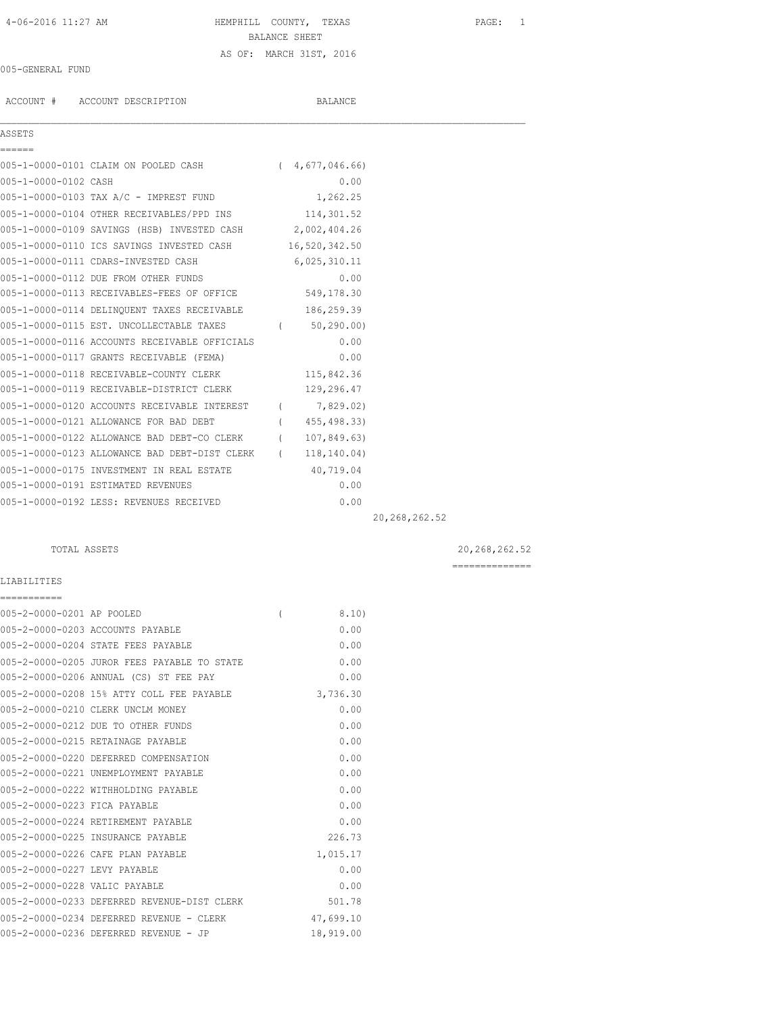# 4-06-2016 11:27 AM HEMPHILL COUNTY, TEXAS PAGE: 1 BALANCE SHEET AS OF: MARCH 31ST, 2016

## 005-GENERAL FUND

ACCOUNT # ACCOUNT DESCRIPTION BALANCE

### ASSETS

| ======               |                                                            |                |                 |
|----------------------|------------------------------------------------------------|----------------|-----------------|
|                      | 005-1-0000-0101 CLAIM ON POOLED CASH (4,677,046.66)        |                |                 |
| 005-1-0000-0102 CASH |                                                            | 0.00           |                 |
|                      | 005-1-0000-0103 TAX A/C - IMPREST FUND                     | 1,262.25       |                 |
|                      | 005-1-0000-0104 OTHER RECEIVABLES/PPD INS 114,301.52       |                |                 |
|                      | 005-1-0000-0109 SAVINGS (HSB) INVESTED CASH 2,002,404.26   |                |                 |
|                      | 005-1-0000-0110 ICS SAVINGS INVESTED CASH 16,520,342.50    |                |                 |
|                      | 005-1-0000-0111 CDARS-INVESTED CASH                        | 6,025,310.11   |                 |
|                      | 005-1-0000-0112 DUE FROM OTHER FUNDS                       | 0.00           |                 |
|                      | 005-1-0000-0113 RECEIVABLES-FEES OF OFFICE 549,178.30      |                |                 |
|                      | 005-1-0000-0114 DELINQUENT TAXES RECEIVABLE 186,259.39     |                |                 |
|                      | 005-1-0000-0115 EST. UNCOLLECTABLE TAXES (60,290.00)       |                |                 |
|                      | 005-1-0000-0116 ACCOUNTS RECEIVABLE OFFICIALS              | 0.00           |                 |
|                      | 005-1-0000-0117 GRANTS RECEIVABLE (FEMA)                   | 0.00           |                 |
|                      | 005-1-0000-0118 RECEIVABLE-COUNTY CLERK                    | 115,842.36     |                 |
|                      | 005-1-0000-0119 RECEIVABLE-DISTRICT CLERK                  | 129,296.47     |                 |
|                      | 005-1-0000-0120 ACCOUNTS RECEIVABLE INTEREST (7,829.02)    |                |                 |
|                      | 005-1-0000-0121 ALLOWANCE FOR BAD DEBT                     | (455, 498.33)  |                 |
|                      | 005-1-0000-0122 ALLOWANCE BAD DEBT-CO CLERK                | (107, 849, 63) |                 |
|                      | 005-1-0000-0123 ALLOWANCE BAD DEBT-DIST CLERK (118,140.04) |                |                 |
|                      | 005-1-0000-0175 INVESTMENT IN REAL ESTATE 40,719.04        |                |                 |
|                      | 005-1-0000-0191 ESTIMATED REVENUES                         | 0.00           |                 |
|                      | 005-1-0000-0192 LESS: REVENUES RECEIVED                    | 0.00           |                 |
|                      |                                                            |                | 20, 268, 262.52 |

 $\mathcal{L}_\mathcal{L} = \mathcal{L}_\mathcal{L}$ 

## TOTAL ASSETS 20,268,262.52

==============

### LIABILITIES

| ===========                   |                                             |          |           |
|-------------------------------|---------------------------------------------|----------|-----------|
| 005-2-0000-0201 AP POOLED     |                                             | $\left($ | 8.10)     |
|                               | 005-2-0000-0203 ACCOUNTS PAYABLE            |          | 0.00      |
|                               | 005-2-0000-0204 STATE FEES PAYABLE          |          | 0.00      |
|                               | 005-2-0000-0205 JUROR FEES PAYABLE TO STATE |          | 0.00      |
|                               | 005-2-0000-0206 ANNUAL (CS) ST FEE PAY      |          | 0.00      |
|                               | 005-2-0000-0208 15% ATTY COLL FEE PAYABLE   |          | 3,736.30  |
|                               | 005-2-0000-0210 CLERK UNCLM MONEY           |          | 0.00      |
|                               | 005-2-0000-0212 DUE TO OTHER FUNDS          |          | 0.00      |
|                               | 005-2-0000-0215 RETAINAGE PAYABLE           |          | 0.00      |
|                               | 005-2-0000-0220 DEFERRED COMPENSATION       |          | 0.00      |
|                               | 005-2-0000-0221 UNEMPLOYMENT PAYABLE        |          | 0.00      |
|                               | 005-2-0000-0222 WITHHOLDING PAYABLE         |          | 0.00      |
| 005-2-0000-0223 FICA PAYABLE  |                                             |          | 0.00      |
|                               | 005-2-0000-0224 RETIREMENT PAYABLE          |          | 0.00      |
|                               | 005-2-0000-0225 INSURANCE PAYABLE           |          | 226.73    |
|                               | 005-2-0000-0226 CAFE PLAN PAYABLE           |          | 1,015.17  |
| 005-2-0000-0227 LEVY PAYABLE  |                                             |          | 0.00      |
| 005-2-0000-0228 VALIC PAYABLE |                                             |          | 0.00      |
|                               | 005-2-0000-0233 DEFERRED REVENUE-DIST CLERK |          | 501.78    |
|                               | 005-2-0000-0234 DEFERRED REVENUE - CLERK    |          | 47,699.10 |
|                               | 005-2-0000-0236 DEFERRED REVENUE - JP       |          | 18,919.00 |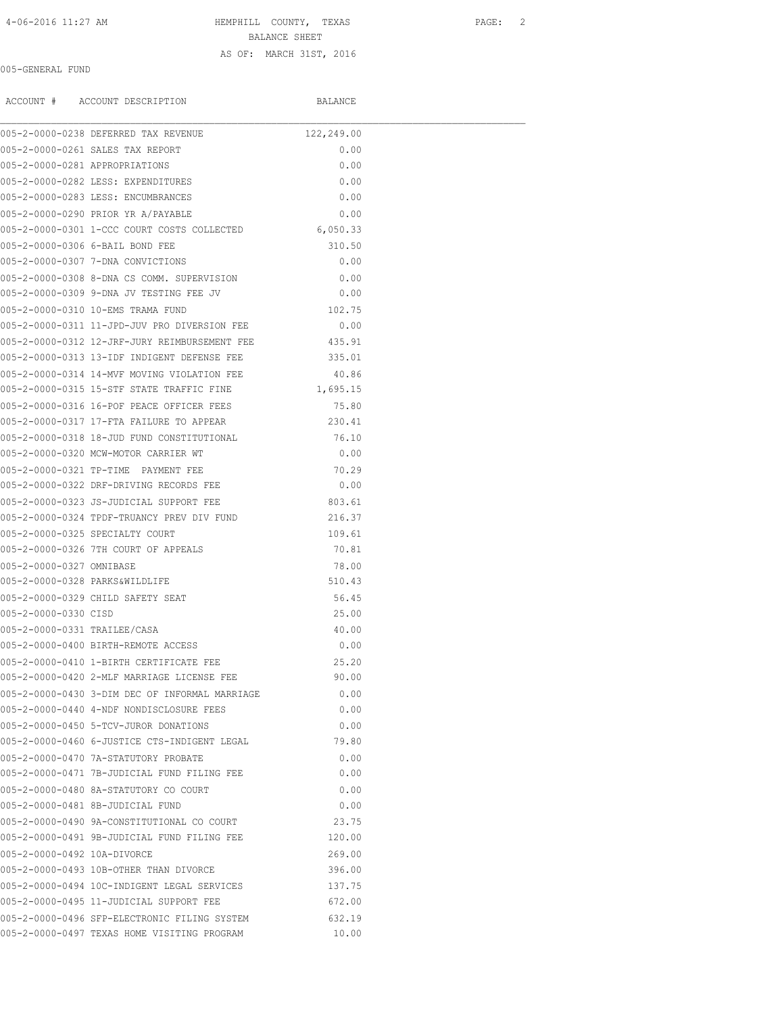4-06-2016 11:27 AM HEMPHILL COUNTY, TEXAS PAGE: 2

BALANCE SHEET

### AS OF: MARCH 31ST, 2016

### 005-GENERAL FUND

ACCOUNT # ACCOUNT DESCRIPTION BALANCE

|                                | 005-2-0000-0238 DEFERRED TAX REVENUE                 | 122,249.00 |  |
|--------------------------------|------------------------------------------------------|------------|--|
|                                | 005-2-0000-0261 SALES TAX REPORT                     | 0.00       |  |
| 005-2-0000-0281 APPROPRIATIONS |                                                      | 0.00       |  |
|                                | 005-2-0000-0282 LESS: EXPENDITURES                   | 0.00       |  |
|                                | 005-2-0000-0283 LESS: ENCUMBRANCES                   | 0.00       |  |
|                                | 005-2-0000-0290 PRIOR YR A/PAYABLE                   | 0.00       |  |
|                                | 005-2-0000-0301 1-CCC COURT COSTS COLLECTED 6,050.33 |            |  |
|                                | 005-2-0000-0306 6-BAIL BOND FEE                      | 310.50     |  |
|                                | 005-2-0000-0307 7-DNA CONVICTIONS                    | 0.00       |  |
|                                | 005-2-0000-0308 8-DNA CS COMM. SUPERVISION           | 0.00       |  |
|                                | 005-2-0000-0309 9-DNA JV TESTING FEE JV              | 0.00       |  |
|                                | 005-2-0000-0310 10-EMS TRAMA FUND                    | 102.75     |  |
|                                | 005-2-0000-0311 11-JPD-JUV PRO DIVERSION FEE         | 0.00       |  |
|                                | 005-2-0000-0312 12-JRF-JURY REIMBURSEMENT FEE        | 435.91     |  |
|                                | 005-2-0000-0313 13-IDF INDIGENT DEFENSE FEE          | 335.01     |  |
|                                | 005-2-0000-0314 14-MVF MOVING VIOLATION FEE          | 40.86      |  |
|                                | 005-2-0000-0315 15-STF STATE TRAFFIC FINE            | 1,695.15   |  |
|                                | 005-2-0000-0316 16-POF PEACE OFFICER FEES            | 75.80      |  |
|                                | 005-2-0000-0317 17-FTA FAILURE TO APPEAR             | 230.41     |  |
|                                | 005-2-0000-0318 18-JUD FUND CONSTITUTIONAL           | 76.10      |  |
|                                | 005-2-0000-0320 MCW-MOTOR CARRIER WT                 | 0.00       |  |
|                                | 005-2-0000-0321 TP-TIME PAYMENT FEE                  | 70.29      |  |
|                                | 005-2-0000-0322 DRF-DRIVING RECORDS FEE              | 0.00       |  |
|                                | 005-2-0000-0323 JS-JUDICIAL SUPPORT FEE              | 803.61     |  |
|                                | 005-2-0000-0324 TPDF-TRUANCY PREV DIV FUND           | 216.37     |  |
|                                | 005-2-0000-0325 SPECIALTY COURT                      | 109.61     |  |
|                                | 005-2-0000-0326 7TH COURT OF APPEALS                 | 70.81      |  |
| 005-2-0000-0327 OMNIBASE       |                                                      | 78.00      |  |
| 005-2-0000-0328 PARKS&WILDLIFE |                                                      | 510.43     |  |
|                                | 005-2-0000-0329 CHILD SAFETY SEAT                    | 56.45      |  |
| 005-2-0000-0330 CTSD           |                                                      | 25.00      |  |
| 005-2-0000-0331 TRAILEE/CASA   |                                                      | 40.00      |  |
|                                | 005-2-0000-0400 BIRTH-REMOTE ACCESS                  | 0.00       |  |
|                                | 005-2-0000-0410 1-BIRTH CERTIFICATE FEE              | 25.20      |  |
|                                | 005-2-0000-0420 2-MLF MARRIAGE LICENSE FEE           | 90.00      |  |
|                                | 005-2-0000-0430 3-DIM DEC OF INFORMAL MARRIAGE       | 0.00       |  |
|                                | 005-2-0000-0440 4-NDF NONDISCLOSURE FEES             | 0.00       |  |
|                                | 005-2-0000-0450 5-TCV-JUROR DONATIONS                | 0.00       |  |
|                                | 005-2-0000-0460 6-JUSTICE CTS-INDIGENT LEGAL         | 79.80      |  |
|                                | 005-2-0000-0470 7A-STATUTORY PROBATE                 | 0.00       |  |
|                                | 005-2-0000-0471 7B-JUDICIAL FUND FILING FEE          | 0.00       |  |
|                                | 005-2-0000-0480 8A-STATUTORY CO COURT                | 0.00       |  |
|                                | 005-2-0000-0481 8B-JUDICIAL FUND                     | 0.00       |  |
|                                | 005-2-0000-0490 9A-CONSTITUTIONAL CO COURT           | 23.75      |  |
|                                | 005-2-0000-0491 9B-JUDICIAL FUND FILING FEE          | 120.00     |  |
| 005-2-0000-0492 10A-DIVORCE    |                                                      | 269.00     |  |
|                                | 005-2-0000-0493 10B-OTHER THAN DIVORCE               | 396.00     |  |
|                                | 005-2-0000-0494 10C-INDIGENT LEGAL SERVICES          | 137.75     |  |
|                                | 005-2-0000-0495 11-JUDICIAL SUPPORT FEE              | 672.00     |  |
|                                | 005-2-0000-0496 SFP-ELECTRONIC FILING SYSTEM         | 632.19     |  |
|                                | 005-2-0000-0497 TEXAS HOME VISITING PROGRAM          | 10.00      |  |
|                                |                                                      |            |  |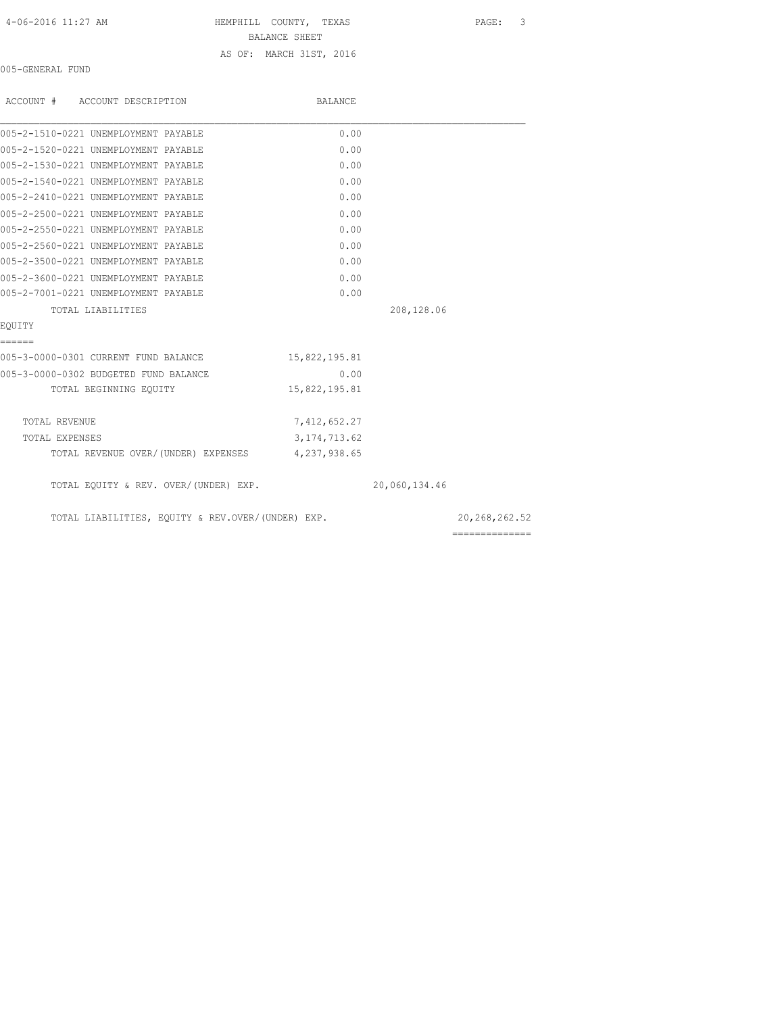HEMPHILL COUNTY, TEXAS PAGE: 3

BALANCE SHEET

## AS OF: MARCH 31ST, 2016

005-GENERAL FUND

| ACCOUNT # ACCOUNT DESCRIPTION                     | BALANCE        |               |                 |
|---------------------------------------------------|----------------|---------------|-----------------|
| 005-2-1510-0221 UNEMPLOYMENT PAYABLE              | 0.00           |               |                 |
| 005-2-1520-0221 UNEMPLOYMENT PAYABLE              | 0.00           |               |                 |
| 005-2-1530-0221 UNEMPLOYMENT PAYABLE              | 0.00           |               |                 |
| 005-2-1540-0221 UNEMPLOYMENT PAYABLE              | 0.00           |               |                 |
| 005-2-2410-0221 UNEMPLOYMENT PAYABLE              | 0.00           |               |                 |
| 005-2-2500-0221 UNEMPLOYMENT PAYABLE              | 0.00           |               |                 |
| 005-2-2550-0221 UNEMPLOYMENT PAYABLE              | 0.00           |               |                 |
| 005-2-2560-0221 UNEMPLOYMENT PAYABLE              | 0.00           |               |                 |
| 005-2-3500-0221 UNEMPLOYMENT PAYABLE              | 0.00           |               |                 |
| 005-2-3600-0221 UNEMPLOYMENT PAYABLE              | 0.00           |               |                 |
| 005-2-7001-0221 UNEMPLOYMENT PAYABLE              | 0.00           |               |                 |
| TOTAL LIABILITIES                                 |                | 208,128.06    |                 |
| EOUITY                                            |                |               |                 |
| ======                                            |                |               |                 |
| 005-3-0000-0301 CURRENT FUND BALANCE              | 15,822,195.81  |               |                 |
| 005-3-0000-0302 BUDGETED FUND BALANCE             | 0.00           |               |                 |
| TOTAL BEGINNING EQUITY                            | 15,822,195.81  |               |                 |
| TOTAL REVENUE                                     | 7,412,652.27   |               |                 |
| TOTAL EXPENSES                                    | 3, 174, 713.62 |               |                 |
| TOTAL REVENUE OVER/(UNDER) EXPENSES 4,237,938.65  |                |               |                 |
| TOTAL EQUITY & REV. OVER/(UNDER) EXP.             |                | 20,060,134.46 |                 |
| TOTAL LIABILITIES, EQUITY & REV.OVER/(UNDER) EXP. |                |               | 20, 268, 262.52 |
|                                                   |                |               | --------------  |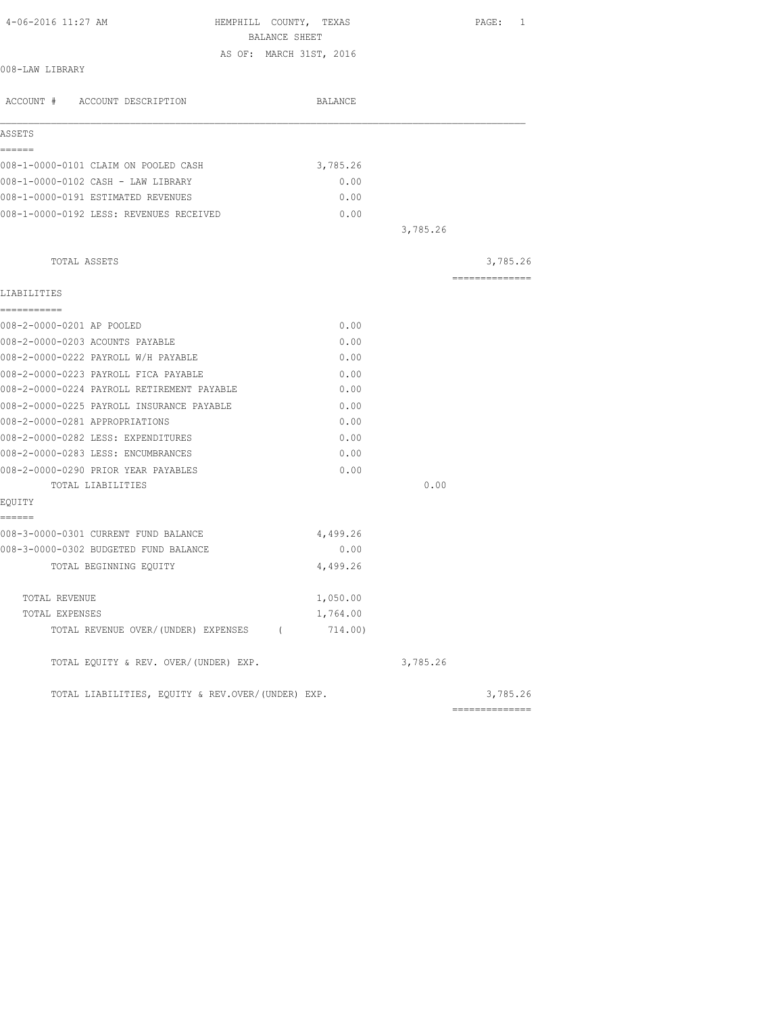| 4-06-2016 11:27 AM                                | HEMPHILL COUNTY, TEXAS  |          | PAGE: 1        |
|---------------------------------------------------|-------------------------|----------|----------------|
|                                                   | BALANCE SHEET           |          |                |
| 008-LAW LIBRARY                                   | AS OF: MARCH 31ST, 2016 |          |                |
|                                                   |                         |          |                |
| ACCOUNT # ACCOUNT DESCRIPTION                     | BALANCE                 |          |                |
| ASSETS                                            |                         |          |                |
| ------                                            |                         |          |                |
| 008-1-0000-0101 CLAIM ON POOLED CASH              | 3,785.26                |          |                |
| 008-1-0000-0102 CASH - LAW LIBRARY                | 0.00                    |          |                |
| 008-1-0000-0191 ESTIMATED REVENUES                | 0.00                    |          |                |
| 008-1-0000-0192 LESS: REVENUES RECEIVED           | 0.00                    |          |                |
|                                                   |                         | 3,785.26 |                |
| TOTAL ASSETS                                      |                         |          | 3,785.26       |
| LIABILITIES                                       |                         |          | ============== |
| ===========                                       |                         |          |                |
| 008-2-0000-0201 AP POOLED                         | 0.00                    |          |                |
| 008-2-0000-0203 ACOUNTS PAYABLE                   | 0.00                    |          |                |
| 008-2-0000-0222 PAYROLL W/H PAYABLE               | 0.00                    |          |                |
| 008-2-0000-0223 PAYROLL FICA PAYABLE              | 0.00                    |          |                |
| 008-2-0000-0224 PAYROLL RETIREMENT PAYABLE        | 0.00                    |          |                |
| 008-2-0000-0225 PAYROLL INSURANCE PAYABLE         | 0.00                    |          |                |
| 008-2-0000-0281 APPROPRIATIONS                    | 0.00                    |          |                |
| 008-2-0000-0282 LESS: EXPENDITURES                | 0.00                    |          |                |
| 008-2-0000-0283 LESS: ENCUMBRANCES                | 0.00                    |          |                |
| 008-2-0000-0290 PRIOR YEAR PAYABLES               | 0.00                    |          |                |
| TOTAL LIABILITIES                                 |                         | 0.00     |                |
| EQUITY                                            |                         |          |                |
| ======<br>008-3-0000-0301 CURRENT FUND BALANCE    | 4,499.26                |          |                |
| 008-3-0000-0302 BUDGETED FUND BALANCE             | 0.00                    |          |                |
| TOTAL BEGINNING EQUITY                            | 4,499.26                |          |                |
|                                                   |                         |          |                |
| TOTAL REVENUE                                     | 1,050.00                |          |                |
| TOTAL EXPENSES                                    | 1,764.00                |          |                |
| TOTAL REVENUE OVER/(UNDER) EXPENSES (314.00)      |                         |          |                |
| TOTAL EQUITY & REV. OVER/(UNDER) EXP.             |                         | 3,785.26 |                |
| TOTAL LIABILITIES, EQUITY & REV.OVER/(UNDER) EXP. |                         |          | 3,785.26       |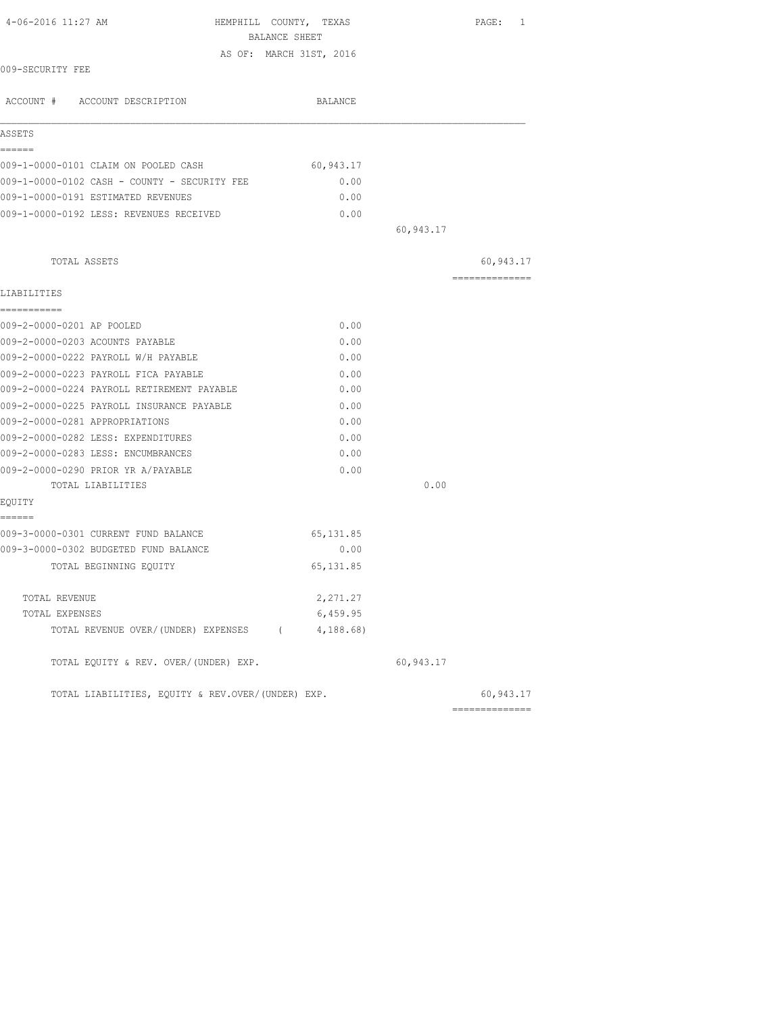| 4-06-2016 11:27 AM                                | HEMPHILL COUNTY, TEXAS  |           | PAGE: 1         |
|---------------------------------------------------|-------------------------|-----------|-----------------|
|                                                   | BALANCE SHEET           |           |                 |
|                                                   | AS OF: MARCH 31ST, 2016 |           |                 |
| 009-SECURITY FEE                                  |                         |           |                 |
| ACCOUNT # ACCOUNT DESCRIPTION                     | BALANCE                 |           |                 |
| ASSETS                                            |                         |           |                 |
| ------                                            |                         |           |                 |
| 009-1-0000-0101 CLAIM ON POOLED CASH              | 60,943.17               |           |                 |
| 009-1-0000-0102 CASH - COUNTY - SECURITY FEE      | 0.00                    |           |                 |
| 009-1-0000-0191 ESTIMATED REVENUES                | 0.00                    |           |                 |
| 009-1-0000-0192 LESS: REVENUES RECEIVED           | 0.00                    |           |                 |
|                                                   |                         | 60,943.17 |                 |
| TOTAL ASSETS                                      |                         |           | 60,943.17       |
| LIABILITIES                                       |                         |           | --------------- |
| ===========                                       |                         |           |                 |
| 009-2-0000-0201 AP POOLED                         | 0.00                    |           |                 |
| 009-2-0000-0203 ACOUNTS PAYABLE                   | 0.00                    |           |                 |
| 009-2-0000-0222 PAYROLL W/H PAYABLE               | 0.00                    |           |                 |
| 009-2-0000-0223 PAYROLL FICA PAYABLE              | 0.00                    |           |                 |
| 009-2-0000-0224 PAYROLL RETIREMENT PAYABLE        | 0.00                    |           |                 |
| 009-2-0000-0225 PAYROLL INSURANCE PAYABLE         | 0.00                    |           |                 |
| 009-2-0000-0281 APPROPRIATIONS                    | 0.00                    |           |                 |
| 009-2-0000-0282 LESS: EXPENDITURES                | 0.00                    |           |                 |
| 009-2-0000-0283 LESS: ENCUMBRANCES                | 0.00                    |           |                 |
| 009-2-0000-0290 PRIOR YR A/PAYABLE                | 0.00                    |           |                 |
| TOTAL LIABILITIES                                 |                         | 0.00      |                 |
| EQUITY<br>------                                  |                         |           |                 |
| 009-3-0000-0301 CURRENT FUND BALANCE              | 65, 131.85              |           |                 |
| 009-3-0000-0302 BUDGETED FUND BALANCE             | 0.00                    |           |                 |
| TOTAL BEGINNING EQUITY                            | 65, 131.85              |           |                 |
| TOTAL REVENUE                                     | 2,271.27                |           |                 |
| TOTAL EXPENSES                                    | 6,459.95                |           |                 |
| TOTAL REVENUE OVER/(UNDER) EXPENSES (4,188.68)    |                         |           |                 |
| TOTAL EQUITY & REV. OVER/(UNDER) EXP.             |                         | 60,943.17 |                 |
| TOTAL LIABILITIES, EQUITY & REV.OVER/(UNDER) EXP. |                         |           | 60,943.17       |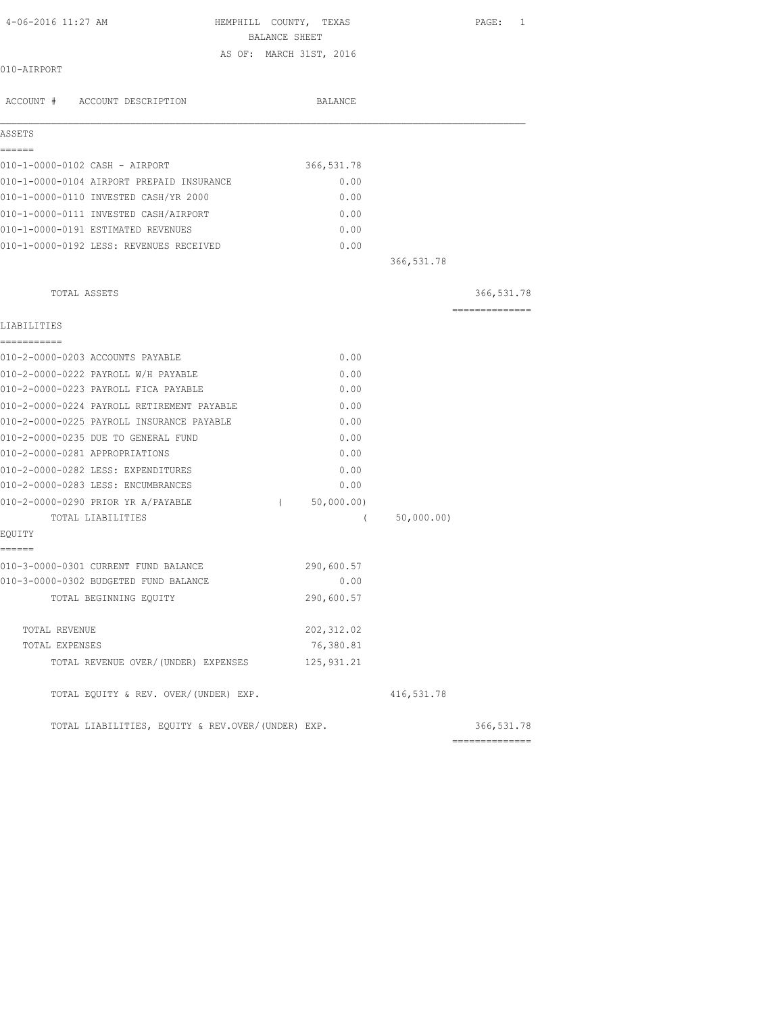| 4-06-2016 11:27 AM                                | HEMPHILL COUNTY, TEXAS  | BALANCE SHEET |                |            | PAGE: 1        |  |
|---------------------------------------------------|-------------------------|---------------|----------------|------------|----------------|--|
|                                                   | AS OF: MARCH 31ST, 2016 |               |                |            |                |  |
| 010-AIRPORT                                       |                         |               |                |            |                |  |
| ACCOUNT # ACCOUNT DESCRIPTION                     |                         |               | <b>BALANCE</b> |            |                |  |
| ASSETS                                            |                         |               |                |            |                |  |
| ------<br>010-1-0000-0102 CASH - AIRPORT          |                         |               | 366, 531.78    |            |                |  |
| 010-1-0000-0104 AIRPORT PREPAID INSURANCE         |                         |               | 0.00           |            |                |  |
| 010-1-0000-0110 INVESTED CASH/YR 2000             |                         |               | 0.00           |            |                |  |
| 010-1-0000-0111 INVESTED CASH/AIRPORT             |                         |               | 0.00           |            |                |  |
| 010-1-0000-0191 ESTIMATED REVENUES                |                         |               | 0.00           |            |                |  |
| 010-1-0000-0192 LESS: REVENUES RECEIVED           |                         |               | 0.00           |            |                |  |
|                                                   |                         |               |                | 366,531.78 |                |  |
| TOTAL ASSETS                                      |                         |               |                |            | 366, 531.78    |  |
|                                                   |                         |               |                |            | -------------- |  |
| LIABILITIES                                       |                         |               |                |            |                |  |
| -----------<br>010-2-0000-0203 ACCOUNTS PAYABLE   |                         |               | 0.00           |            |                |  |
| 010-2-0000-0222 PAYROLL W/H PAYABLE               |                         |               | 0.00           |            |                |  |
| 010-2-0000-0223 PAYROLL FICA PAYABLE              |                         |               | 0.00           |            |                |  |
| 010-2-0000-0224 PAYROLL RETIREMENT PAYABLE        |                         |               | 0.00           |            |                |  |
| 010-2-0000-0225 PAYROLL INSURANCE PAYABLE         |                         |               | 0.00           |            |                |  |
| 010-2-0000-0235 DUE TO GENERAL FUND               |                         |               | 0.00           |            |                |  |
| 010-2-0000-0281 APPROPRIATIONS                    |                         |               | 0.00           |            |                |  |
| 010-2-0000-0282 LESS: EXPENDITURES                |                         |               | 0.00           |            |                |  |
| 010-2-0000-0283 LESS: ENCUMBRANCES                |                         |               | 0.00           |            |                |  |
| 010-2-0000-0290 PRIOR YR A/PAYABLE                |                         | $\sqrt{2}$    | 50,000.00)     |            |                |  |
| TOTAL LIABILITIES                                 |                         |               | $\sqrt{2}$     | 50,000.00) |                |  |
| EQUITY                                            |                         |               |                |            |                |  |
| ======<br>010-3-0000-0301 CURRENT FUND BALANCE    |                         |               | 290,600.57     |            |                |  |
| 010-3-0000-0302 BUDGETED FUND BALANCE             |                         |               | 0.00           |            |                |  |
| TOTAL BEGINNING EQUITY                            |                         |               | 290,600.57     |            |                |  |
| TOTAL REVENUE                                     |                         |               | 202, 312.02    |            |                |  |
| TOTAL EXPENSES                                    |                         |               | 76,380.81      |            |                |  |
| TOTAL REVENUE OVER/ (UNDER) EXPENSES              |                         |               | 125, 931.21    |            |                |  |
| TOTAL EQUITY & REV. OVER/(UNDER) EXP.             |                         |               |                | 416,531.78 |                |  |
| TOTAL LIABILITIES, EQUITY & REV.OVER/(UNDER) EXP. |                         |               |                |            | 366, 531.78    |  |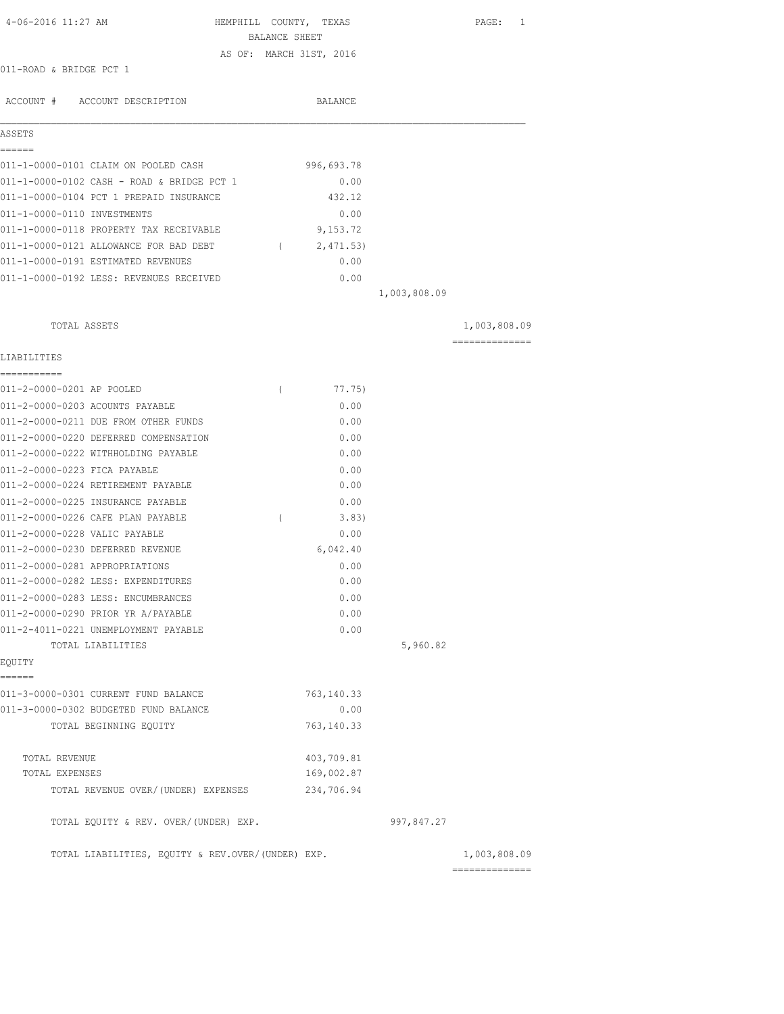| 4-06-2016 11:27 AM                                           | HEMPHILL COUNTY, TEXAS<br>BALANCE SHEET |             |              | 1<br>PAGE:                     |
|--------------------------------------------------------------|-----------------------------------------|-------------|--------------|--------------------------------|
| 011-ROAD & BRIDGE PCT 1                                      | AS OF: MARCH 31ST, 2016                 |             |              |                                |
|                                                              |                                         |             |              |                                |
| ACCOUNT # ACCOUNT DESCRIPTION                                |                                         | BALANCE     |              |                                |
| ASSETS                                                       |                                         |             |              |                                |
| ------<br>011-1-0000-0101 CLAIM ON POOLED CASH               |                                         | 996,693.78  |              |                                |
| 011-1-0000-0102 CASH - ROAD & BRIDGE PCT 1                   |                                         | 0.00        |              |                                |
| 011-1-0000-0104 PCT 1 PREPAID INSURANCE                      |                                         | 432.12      |              |                                |
| 011-1-0000-0110 INVESTMENTS                                  |                                         | 0.00        |              |                                |
| 011-1-0000-0118 PROPERTY TAX RECEIVABLE                      |                                         | 9,153.72    |              |                                |
| 011-1-0000-0121 ALLOWANCE FOR BAD DEBT                       | $\sqrt{2}$                              | 2,471.53)   |              |                                |
| 011-1-0000-0191 ESTIMATED REVENUES                           |                                         | 0.00        |              |                                |
| 011-1-0000-0192 LESS: REVENUES RECEIVED                      |                                         | 0.00        |              |                                |
|                                                              |                                         |             | 1,003,808.09 |                                |
| TOTAL ASSETS                                                 |                                         |             |              | 1,003,808.09                   |
| LIABILITIES                                                  |                                         |             |              | ---------------                |
| ===========                                                  |                                         | 77.75)      |              |                                |
| 011-2-0000-0201 AP POOLED<br>011-2-0000-0203 ACOUNTS PAYABLE | $\left($                                | 0.00        |              |                                |
| 011-2-0000-0211 DUE FROM OTHER FUNDS                         |                                         | 0.00        |              |                                |
| 011-2-0000-0220 DEFERRED COMPENSATION                        |                                         | 0.00        |              |                                |
| 011-2-0000-0222 WITHHOLDING PAYABLE                          |                                         | 0.00        |              |                                |
| 011-2-0000-0223 FICA PAYABLE                                 |                                         | 0.00        |              |                                |
| 011-2-0000-0224 RETIREMENT PAYABLE                           |                                         | 0.00        |              |                                |
| 011-2-0000-0225 INSURANCE PAYABLE                            |                                         | 0.00        |              |                                |
| 011-2-0000-0226 CAFE PLAN PAYABLE                            | $\left($                                | 3.83)       |              |                                |
| 011-2-0000-0228 VALIC PAYABLE                                |                                         | 0.00        |              |                                |
| 011-2-0000-0230 DEFERRED REVENUE                             |                                         | 6,042.40    |              |                                |
| 011-2-0000-0281 APPROPRIATIONS                               |                                         | 0.00        |              |                                |
| 011-2-0000-0282 LESS: EXPENDITURES                           |                                         | 0.00        |              |                                |
| 011-2-0000-0283 LESS: ENCUMBRANCES                           |                                         | 0.00        |              |                                |
| 011-2-0000-0290 PRIOR YR A/PAYABLE                           |                                         | 0.00        |              |                                |
| 011-2-4011-0221 UNEMPLOYMENT PAYABLE                         |                                         | 0.00        |              |                                |
| TOTAL LIABILITIES<br>EQUITY                                  |                                         |             | 5,960.82     |                                |
| ======                                                       |                                         |             |              |                                |
| 011-3-0000-0301 CURRENT FUND BALANCE                         |                                         | 763, 140.33 |              |                                |
| 011-3-0000-0302 BUDGETED FUND BALANCE                        |                                         | 0.00        |              |                                |
| TOTAL BEGINNING EQUITY                                       |                                         | 763, 140.33 |              |                                |
| TOTAL REVENUE                                                |                                         | 403,709.81  |              |                                |
| TOTAL EXPENSES                                               |                                         | 169,002.87  |              |                                |
| TOTAL REVENUE OVER/(UNDER) EXPENSES                          |                                         | 234,706.94  |              |                                |
| TOTAL EQUITY & REV. OVER/(UNDER) EXP.                        |                                         |             | 997,847.27   |                                |
| TOTAL LIABILITIES, EQUITY & REV.OVER/(UNDER) EXP.            |                                         |             |              | 1,003,808.09<br>============== |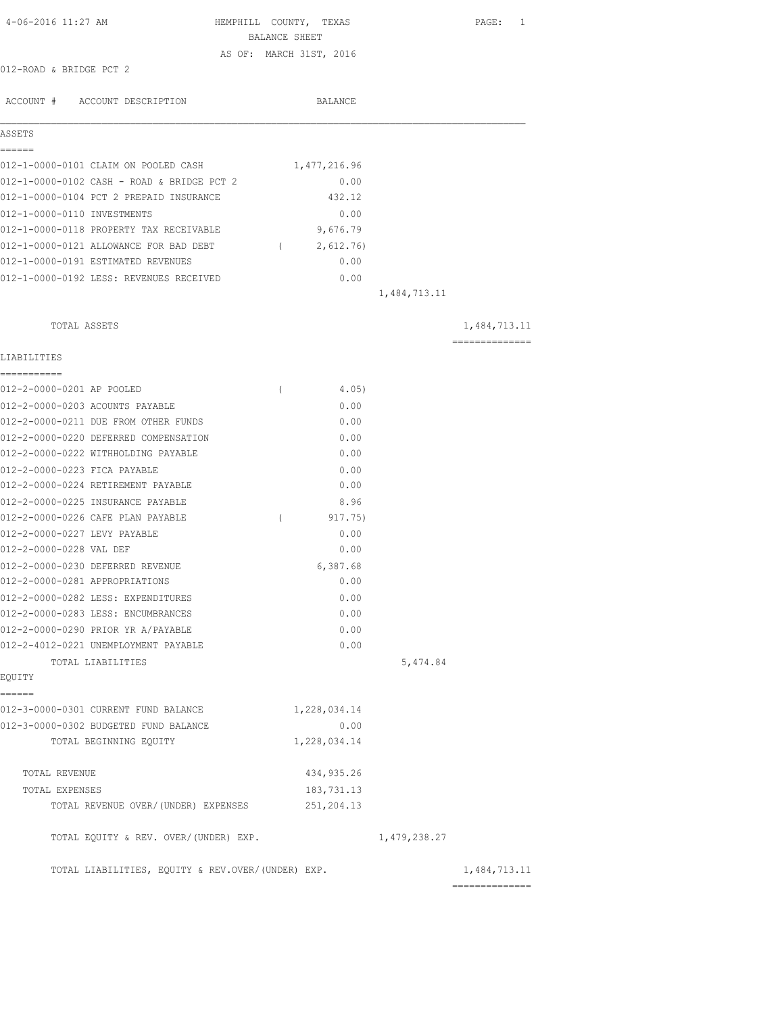| 4-06-2016 11:27 AM                                | HEMPHILL COUNTY, TEXAS<br>BALANCE SHEET | PAGE: 1                                                                                                                                                                                                                                                                                                                                                                                                                                                                                |
|---------------------------------------------------|-----------------------------------------|----------------------------------------------------------------------------------------------------------------------------------------------------------------------------------------------------------------------------------------------------------------------------------------------------------------------------------------------------------------------------------------------------------------------------------------------------------------------------------------|
| 012-ROAD & BRIDGE PCT 2                           | AS OF: MARCH 31ST, 2016                 |                                                                                                                                                                                                                                                                                                                                                                                                                                                                                        |
|                                                   |                                         |                                                                                                                                                                                                                                                                                                                                                                                                                                                                                        |
| ACCOUNT # ACCOUNT DESCRIPTION                     | BALANCE                                 |                                                                                                                                                                                                                                                                                                                                                                                                                                                                                        |
| ASSETS<br>======                                  |                                         |                                                                                                                                                                                                                                                                                                                                                                                                                                                                                        |
| 012-1-0000-0101 CLAIM ON POOLED CASH              | 1,477,216.96                            |                                                                                                                                                                                                                                                                                                                                                                                                                                                                                        |
| 012-1-0000-0102 CASH - ROAD & BRIDGE PCT 2        | 0.00                                    |                                                                                                                                                                                                                                                                                                                                                                                                                                                                                        |
| 012-1-0000-0104 PCT 2 PREPAID INSURANCE           | 432.12                                  |                                                                                                                                                                                                                                                                                                                                                                                                                                                                                        |
| 012-1-0000-0110 INVESTMENTS                       | 0.00                                    |                                                                                                                                                                                                                                                                                                                                                                                                                                                                                        |
| 012-1-0000-0118 PROPERTY TAX RECEIVABLE           | 9,676.79                                |                                                                                                                                                                                                                                                                                                                                                                                                                                                                                        |
| 012-1-0000-0121 ALLOWANCE FOR BAD DEBT            | 2,612.76)<br>$\overline{a}$             |                                                                                                                                                                                                                                                                                                                                                                                                                                                                                        |
| 012-1-0000-0191 ESTIMATED REVENUES                | 0.00                                    |                                                                                                                                                                                                                                                                                                                                                                                                                                                                                        |
| 012-1-0000-0192 LESS: REVENUES RECEIVED           | 0.00                                    |                                                                                                                                                                                                                                                                                                                                                                                                                                                                                        |
|                                                   |                                         | 1,484,713.11                                                                                                                                                                                                                                                                                                                                                                                                                                                                           |
| TOTAL ASSETS                                      |                                         | 1,484,713.11                                                                                                                                                                                                                                                                                                                                                                                                                                                                           |
| LIABILITIES                                       |                                         | $\begin{array}{cccccccccc} \multicolumn{2}{c}{} & \multicolumn{2}{c}{} & \multicolumn{2}{c}{} & \multicolumn{2}{c}{} & \multicolumn{2}{c}{} & \multicolumn{2}{c}{} & \multicolumn{2}{c}{} & \multicolumn{2}{c}{} & \multicolumn{2}{c}{} & \multicolumn{2}{c}{} & \multicolumn{2}{c}{} & \multicolumn{2}{c}{} & \multicolumn{2}{c}{} & \multicolumn{2}{c}{} & \multicolumn{2}{c}{} & \multicolumn{2}{c}{} & \multicolumn{2}{c}{} & \multicolumn{2}{c}{} & \multicolumn{2}{c}{} & \mult$ |
| 012-2-0000-0201 AP POOLED                         | 4.05)<br>$\left($                       |                                                                                                                                                                                                                                                                                                                                                                                                                                                                                        |
| 012-2-0000-0203 ACOUNTS PAYABLE                   | 0.00                                    |                                                                                                                                                                                                                                                                                                                                                                                                                                                                                        |
| 012-2-0000-0211 DUE FROM OTHER FUNDS              | 0.00                                    |                                                                                                                                                                                                                                                                                                                                                                                                                                                                                        |
| 012-2-0000-0220 DEFERRED COMPENSATION             | 0.00                                    |                                                                                                                                                                                                                                                                                                                                                                                                                                                                                        |
| 012-2-0000-0222 WITHHOLDING PAYABLE               | 0.00                                    |                                                                                                                                                                                                                                                                                                                                                                                                                                                                                        |
| 012-2-0000-0223 FICA PAYABLE                      | 0.00                                    |                                                                                                                                                                                                                                                                                                                                                                                                                                                                                        |
| 012-2-0000-0224 RETIREMENT PAYABLE                | 0.00                                    |                                                                                                                                                                                                                                                                                                                                                                                                                                                                                        |
| 012-2-0000-0225 INSURANCE PAYABLE                 | 8.96                                    |                                                                                                                                                                                                                                                                                                                                                                                                                                                                                        |
| 012-2-0000-0226 CAFE PLAN PAYABLE                 | 917.75)<br>$\left($                     |                                                                                                                                                                                                                                                                                                                                                                                                                                                                                        |
| 012-2-0000-0227 LEVY PAYABLE                      | 0.00                                    |                                                                                                                                                                                                                                                                                                                                                                                                                                                                                        |
| 012-2-0000-0228 VAL DEF                           | 0.00                                    |                                                                                                                                                                                                                                                                                                                                                                                                                                                                                        |
| 012-2-0000-0230 DEFERRED REVENUE                  | 6,387.68                                |                                                                                                                                                                                                                                                                                                                                                                                                                                                                                        |
| 012-2-0000-0281 APPROPRIATIONS                    | 0.00                                    |                                                                                                                                                                                                                                                                                                                                                                                                                                                                                        |
| 012-2-0000-0282 LESS: EXPENDITURES                | 0.00                                    |                                                                                                                                                                                                                                                                                                                                                                                                                                                                                        |
| 012-2-0000-0283 LESS: ENCUMBRANCES                | 0.00                                    |                                                                                                                                                                                                                                                                                                                                                                                                                                                                                        |
| 012-2-0000-0290 PRIOR YR A/PAYABLE                | 0.00                                    |                                                                                                                                                                                                                                                                                                                                                                                                                                                                                        |
| 012-2-4012-0221 UNEMPLOYMENT PAYABLE              | 0.00                                    |                                                                                                                                                                                                                                                                                                                                                                                                                                                                                        |
| TOTAL LIABILITIES                                 |                                         | 5,474.84                                                                                                                                                                                                                                                                                                                                                                                                                                                                               |
| EQUITY<br>======                                  |                                         |                                                                                                                                                                                                                                                                                                                                                                                                                                                                                        |
| 012-3-0000-0301 CURRENT FUND BALANCE              | 1,228,034.14                            |                                                                                                                                                                                                                                                                                                                                                                                                                                                                                        |
| 012-3-0000-0302 BUDGETED FUND BALANCE             | 0.00                                    |                                                                                                                                                                                                                                                                                                                                                                                                                                                                                        |
| TOTAL BEGINNING EQUITY                            | 1,228,034.14                            |                                                                                                                                                                                                                                                                                                                                                                                                                                                                                        |
|                                                   |                                         |                                                                                                                                                                                                                                                                                                                                                                                                                                                                                        |
| TOTAL REVENUE                                     | 434, 935.26                             |                                                                                                                                                                                                                                                                                                                                                                                                                                                                                        |
| TOTAL EXPENSES                                    | 183,731.13                              |                                                                                                                                                                                                                                                                                                                                                                                                                                                                                        |
| TOTAL REVENUE OVER/(UNDER) EXPENSES               | 251,204.13                              |                                                                                                                                                                                                                                                                                                                                                                                                                                                                                        |
| TOTAL EQUITY & REV. OVER/(UNDER) EXP.             |                                         | 1,479,238.27                                                                                                                                                                                                                                                                                                                                                                                                                                                                           |
| TOTAL LIABILITIES, EQUITY & REV.OVER/(UNDER) EXP. |                                         | 1,484,713.11<br>--------------                                                                                                                                                                                                                                                                                                                                                                                                                                                         |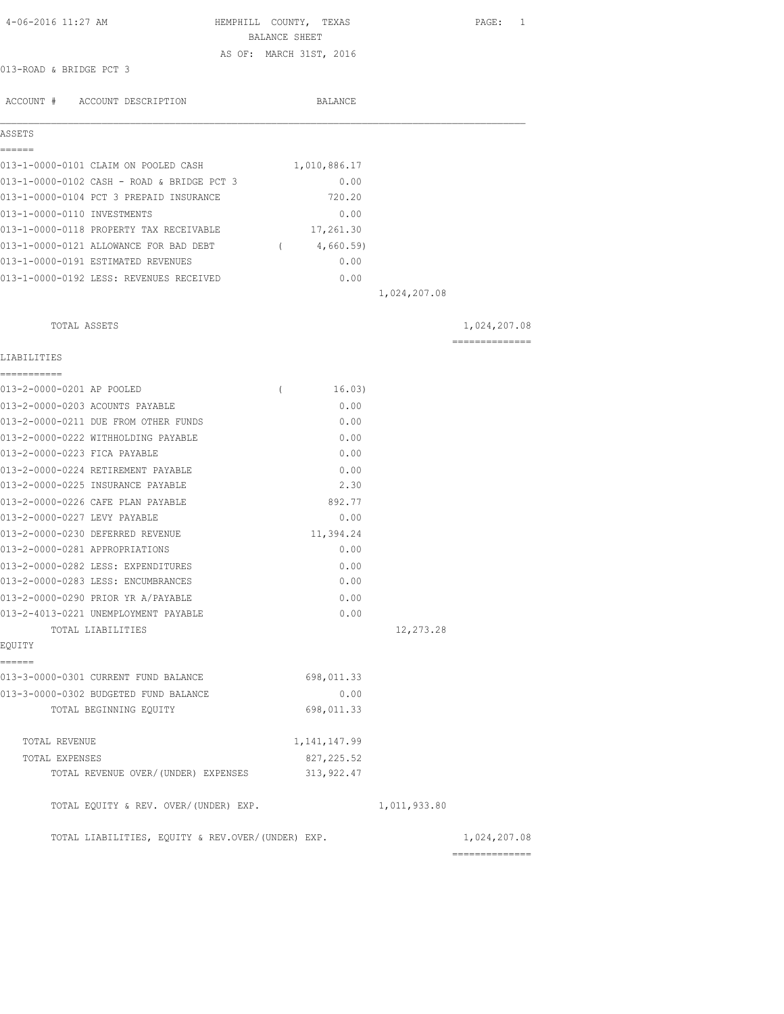| 4-06-2016 11:27 AM                                                      | HEMPHILL COUNTY, TEXAS<br>BALANCE SHEET |              | PAGE: 1        |
|-------------------------------------------------------------------------|-----------------------------------------|--------------|----------------|
|                                                                         | AS OF: MARCH 31ST, 2016                 |              |                |
| 013-ROAD & BRIDGE PCT 3                                                 |                                         |              |                |
|                                                                         |                                         |              |                |
| ACCOUNT # ACCOUNT DESCRIPTION                                           | BALANCE                                 |              |                |
|                                                                         |                                         |              |                |
| ASSETS                                                                  |                                         |              |                |
|                                                                         |                                         |              |                |
| 013-1-0000-0101 CLAIM ON POOLED CASH                                    | 1,010,886.17                            |              |                |
| 013-1-0000-0102 CASH - ROAD & BRIDGE PCT 3                              | 0.00                                    |              |                |
| 013-1-0000-0104 PCT 3 PREPAID INSURANCE                                 | 720.20                                  |              |                |
| 013-1-0000-0110 INVESTMENTS                                             | 0.00                                    |              |                |
| 013-1-0000-0118 PROPERTY TAX RECEIVABLE                                 | 17,261.30                               |              |                |
| 013-1-0000-0121 ALLOWANCE FOR BAD DEBT (4,660.59)                       |                                         |              |                |
| 013-1-0000-0191 ESTIMATED REVENUES                                      | 0.00                                    |              |                |
| 013-1-0000-0192 LESS: REVENUES RECEIVED                                 | 0.00                                    |              |                |
|                                                                         |                                         | 1,024,207.08 |                |
| TOTAL ASSETS                                                            |                                         |              | 1,024,207.08   |
|                                                                         |                                         |              | ============== |
| LIABILITIES                                                             |                                         |              |                |
| ===========                                                             |                                         |              |                |
| 013-2-0000-0201 AP POOLED                                               | 16.03)<br>$\left($                      |              |                |
| 013-2-0000-0203 ACOUNTS PAYABLE<br>013-2-0000-0211 DUE FROM OTHER FUNDS | 0.00<br>0.00                            |              |                |
| 013-2-0000-0222 WITHHOLDING PAYABLE                                     | 0.00                                    |              |                |
| 013-2-0000-0223 FICA PAYABLE                                            | 0.00                                    |              |                |
| 013-2-0000-0224 RETIREMENT PAYABLE                                      | 0.00                                    |              |                |
| 013-2-0000-0225 INSURANCE PAYABLE                                       | 2.30                                    |              |                |
| 013-2-0000-0226 CAFE PLAN PAYABLE                                       | 892.77                                  |              |                |
| 013-2-0000-0227 LEVY PAYABLE                                            | 0.00                                    |              |                |
| 013-2-0000-0230 DEFERRED REVENUE                                        | 11,394.24                               |              |                |
| 013-2-0000-0281 APPROPRIATIONS                                          | 0.00                                    |              |                |
| 013-2-0000-0282 LESS: EXPENDITURES                                      | 0.00                                    |              |                |
| 013-2-0000-0283 LESS: ENCUMBRANCES                                      | 0.00                                    |              |                |
| 013-2-0000-0290 PRIOR YR A/PAYABLE                                      | 0.00                                    |              |                |
| 013-2-4013-0221 UNEMPLOYMENT PAYABLE                                    | 0.00                                    |              |                |
| TOTAL LIABILITIES                                                       |                                         | 12,273.28    |                |
| EQUITY                                                                  |                                         |              |                |
| ======                                                                  |                                         |              |                |
| 013-3-0000-0301 CURRENT FUND BALANCE                                    | 698,011.33                              |              |                |
| 013-3-0000-0302 BUDGETED FUND BALANCE                                   | 0.00                                    |              |                |
| TOTAL BEGINNING EQUITY                                                  | 698,011.33                              |              |                |
| TOTAL REVENUE                                                           | 1, 141, 147.99                          |              |                |
| TOTAL EXPENSES                                                          | 827, 225.52                             |              |                |
| TOTAL REVENUE OVER/ (UNDER) EXPENSES                                    | 313, 922.47                             |              |                |
| TOTAL EQUITY & REV. OVER/(UNDER) EXP.                                   |                                         | 1,011,933.80 |                |
| TOTAL LIABILITIES, EQUITY & REV.OVER/(UNDER) EXP.                       |                                         |              | 1,024,207.08   |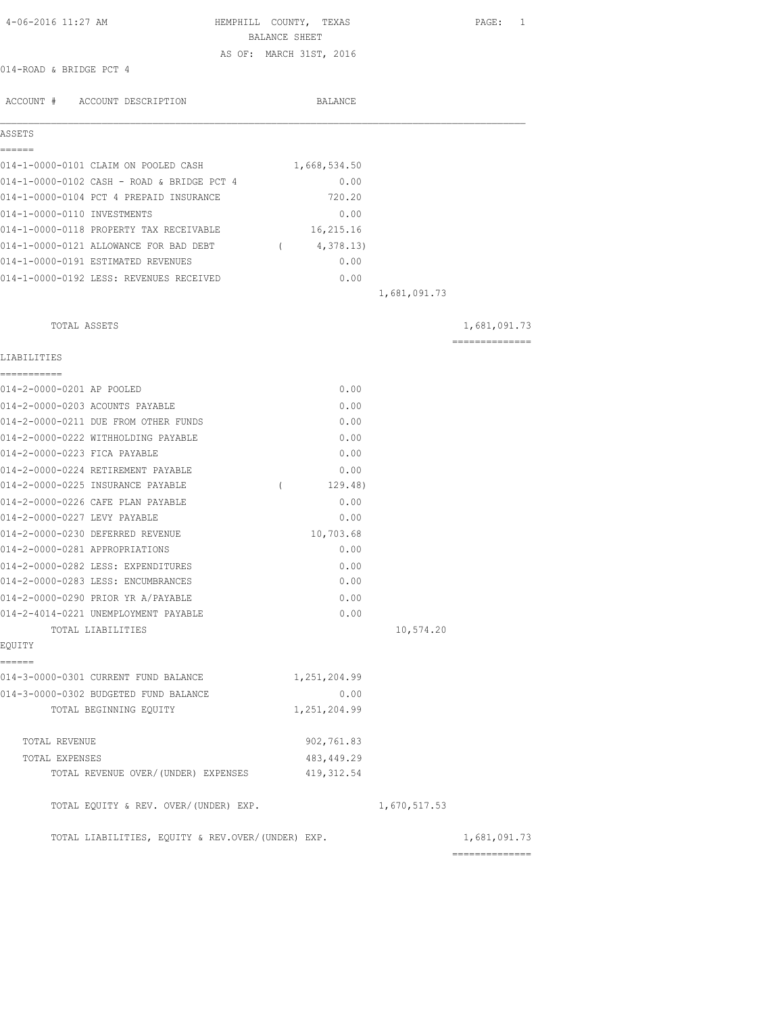| 4-06-2016 11:27 AM                                | HEMPHILL COUNTY, TEXAS  |              | PAGE: 1                                                                                                                                                                                                                                                                                                                                                                                                                                                                                |
|---------------------------------------------------|-------------------------|--------------|----------------------------------------------------------------------------------------------------------------------------------------------------------------------------------------------------------------------------------------------------------------------------------------------------------------------------------------------------------------------------------------------------------------------------------------------------------------------------------------|
|                                                   | BALANCE SHEET           |              |                                                                                                                                                                                                                                                                                                                                                                                                                                                                                        |
| 014-ROAD & BRIDGE PCT 4                           | AS OF: MARCH 31ST, 2016 |              |                                                                                                                                                                                                                                                                                                                                                                                                                                                                                        |
|                                                   |                         |              |                                                                                                                                                                                                                                                                                                                                                                                                                                                                                        |
| ACCOUNT # ACCOUNT DESCRIPTION                     | BALANCE                 |              |                                                                                                                                                                                                                                                                                                                                                                                                                                                                                        |
| ASSETS                                            |                         |              |                                                                                                                                                                                                                                                                                                                                                                                                                                                                                        |
| ------                                            |                         |              |                                                                                                                                                                                                                                                                                                                                                                                                                                                                                        |
| 014-1-0000-0101 CLAIM ON POOLED CASH              | 1,668,534.50            |              |                                                                                                                                                                                                                                                                                                                                                                                                                                                                                        |
| 014-1-0000-0102 CASH - ROAD & BRIDGE PCT 4        | 0.00                    |              |                                                                                                                                                                                                                                                                                                                                                                                                                                                                                        |
| 014-1-0000-0104 PCT 4 PREPAID INSURANCE           | 720.20                  |              |                                                                                                                                                                                                                                                                                                                                                                                                                                                                                        |
| 014-1-0000-0110 INVESTMENTS                       | 0.00                    |              |                                                                                                                                                                                                                                                                                                                                                                                                                                                                                        |
| 014-1-0000-0118 PROPERTY TAX RECEIVABLE           | 16,215.16               |              |                                                                                                                                                                                                                                                                                                                                                                                                                                                                                        |
| 014-1-0000-0121 ALLOWANCE FOR BAD DEBT            | 4,378.13)<br>$\sqrt{2}$ |              |                                                                                                                                                                                                                                                                                                                                                                                                                                                                                        |
| 014-1-0000-0191 ESTIMATED REVENUES                | 0.00                    |              |                                                                                                                                                                                                                                                                                                                                                                                                                                                                                        |
| 014-1-0000-0192 LESS: REVENUES RECEIVED           | 0.00                    |              |                                                                                                                                                                                                                                                                                                                                                                                                                                                                                        |
|                                                   |                         | 1,681,091.73 |                                                                                                                                                                                                                                                                                                                                                                                                                                                                                        |
| TOTAL ASSETS                                      |                         |              | 1,681,091.73                                                                                                                                                                                                                                                                                                                                                                                                                                                                           |
| LIABILITIES                                       |                         |              | $\begin{array}{cccccccccccccc} \multicolumn{2}{c}{} & \multicolumn{2}{c}{} & \multicolumn{2}{c}{} & \multicolumn{2}{c}{} & \multicolumn{2}{c}{} & \multicolumn{2}{c}{} & \multicolumn{2}{c}{} & \multicolumn{2}{c}{} & \multicolumn{2}{c}{} & \multicolumn{2}{c}{} & \multicolumn{2}{c}{} & \multicolumn{2}{c}{} & \multicolumn{2}{c}{} & \multicolumn{2}{c}{} & \multicolumn{2}{c}{} & \multicolumn{2}{c}{} & \multicolumn{2}{c}{} & \multicolumn{2}{c}{} & \multicolumn{2}{c}{} & \$ |
| ----------<br>014-2-0000-0201 AP POOLED           | 0.00                    |              |                                                                                                                                                                                                                                                                                                                                                                                                                                                                                        |
| 014-2-0000-0203 ACOUNTS PAYABLE                   | 0.00                    |              |                                                                                                                                                                                                                                                                                                                                                                                                                                                                                        |
| 014-2-0000-0211 DUE FROM OTHER FUNDS              | 0.00                    |              |                                                                                                                                                                                                                                                                                                                                                                                                                                                                                        |
| 014-2-0000-0222 WITHHOLDING PAYABLE               | 0.00                    |              |                                                                                                                                                                                                                                                                                                                                                                                                                                                                                        |
| 014-2-0000-0223 FICA PAYABLE                      | 0.00                    |              |                                                                                                                                                                                                                                                                                                                                                                                                                                                                                        |
| 014-2-0000-0224 RETIREMENT PAYABLE                | 0.00                    |              |                                                                                                                                                                                                                                                                                                                                                                                                                                                                                        |
| 014-2-0000-0225 INSURANCE PAYABLE                 | $\left($<br>129.48)     |              |                                                                                                                                                                                                                                                                                                                                                                                                                                                                                        |
| 014-2-0000-0226 CAFE PLAN PAYABLE                 | 0.00                    |              |                                                                                                                                                                                                                                                                                                                                                                                                                                                                                        |
| 014-2-0000-0227 LEVY PAYABLE                      | 0.00                    |              |                                                                                                                                                                                                                                                                                                                                                                                                                                                                                        |
| 014-2-0000-0230 DEFERRED REVENUE                  | 10,703.68               |              |                                                                                                                                                                                                                                                                                                                                                                                                                                                                                        |
| 014-2-0000-0281 APPROPRIATIONS                    | 0.00                    |              |                                                                                                                                                                                                                                                                                                                                                                                                                                                                                        |
| 014-2-0000-0282 LESS: EXPENDITURES                | 0.00                    |              |                                                                                                                                                                                                                                                                                                                                                                                                                                                                                        |
| 014-2-0000-0283 LESS: ENCUMBRANCES                | 0.00                    |              |                                                                                                                                                                                                                                                                                                                                                                                                                                                                                        |
| 014-2-0000-0290 PRIOR YR A/PAYABLE                | 0.00                    |              |                                                                                                                                                                                                                                                                                                                                                                                                                                                                                        |
| 014-2-4014-0221 UNEMPLOYMENT PAYABLE              | 0.00                    |              |                                                                                                                                                                                                                                                                                                                                                                                                                                                                                        |
| TOTAL LIABILITIES                                 |                         | 10,574.20    |                                                                                                                                                                                                                                                                                                                                                                                                                                                                                        |
| EQUITY                                            |                         |              |                                                                                                                                                                                                                                                                                                                                                                                                                                                                                        |
| ======<br>014-3-0000-0301 CURRENT FUND BALANCE    | 1,251,204.99            |              |                                                                                                                                                                                                                                                                                                                                                                                                                                                                                        |
| 014-3-0000-0302 BUDGETED FUND BALANCE             | 0.00                    |              |                                                                                                                                                                                                                                                                                                                                                                                                                                                                                        |
| TOTAL BEGINNING EQUITY                            | 1,251,204.99            |              |                                                                                                                                                                                                                                                                                                                                                                                                                                                                                        |
| TOTAL REVENUE                                     | 902,761.83              |              |                                                                                                                                                                                                                                                                                                                                                                                                                                                                                        |
| TOTAL EXPENSES                                    | 483, 449.29             |              |                                                                                                                                                                                                                                                                                                                                                                                                                                                                                        |
| TOTAL REVENUE OVER/(UNDER) EXPENSES               | 419, 312.54             |              |                                                                                                                                                                                                                                                                                                                                                                                                                                                                                        |
| TOTAL EQUITY & REV. OVER/(UNDER) EXP.             |                         | 1,670,517.53 |                                                                                                                                                                                                                                                                                                                                                                                                                                                                                        |
| TOTAL LIABILITIES, EQUITY & REV.OVER/(UNDER) EXP. |                         |              | 1,681,091.73<br>==============                                                                                                                                                                                                                                                                                                                                                                                                                                                         |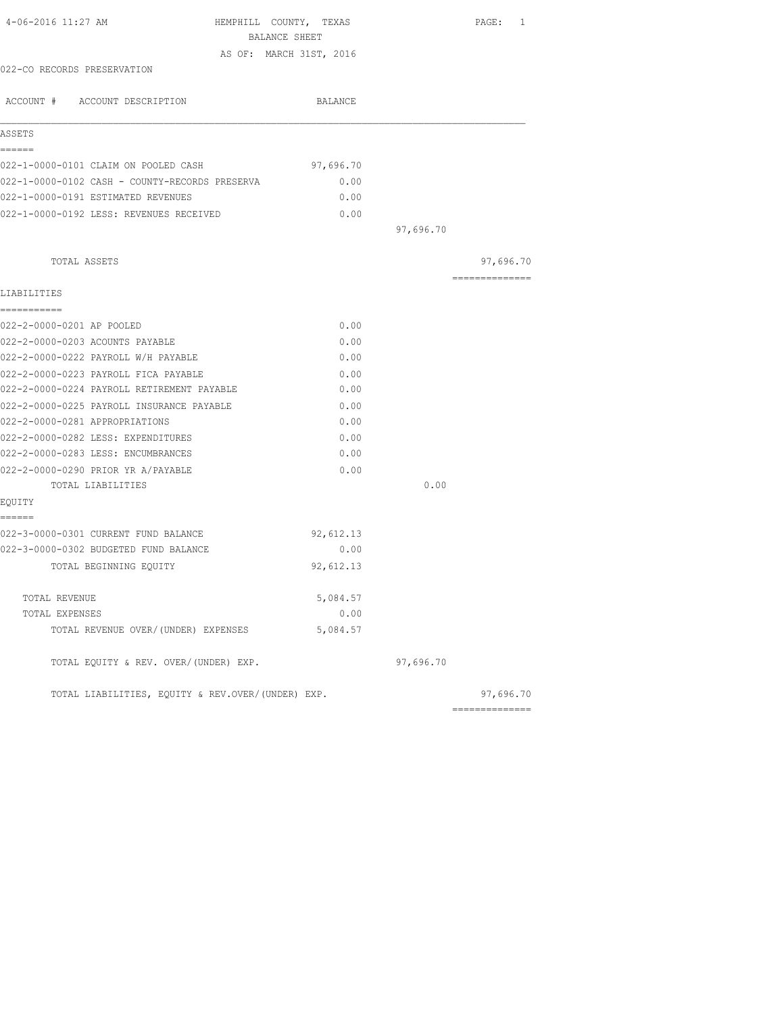| 4-06-2016 11:27 AM                                | HEMPHILL COUNTY, TEXAS<br>BALANCE SHEET |           | PAGE: 1                                                                                                                                                                                                                                                                                                                                                                                                                                                                                |
|---------------------------------------------------|-----------------------------------------|-----------|----------------------------------------------------------------------------------------------------------------------------------------------------------------------------------------------------------------------------------------------------------------------------------------------------------------------------------------------------------------------------------------------------------------------------------------------------------------------------------------|
|                                                   | AS OF: MARCH 31ST, 2016                 |           |                                                                                                                                                                                                                                                                                                                                                                                                                                                                                        |
| 022-CO RECORDS PRESERVATION                       |                                         |           |                                                                                                                                                                                                                                                                                                                                                                                                                                                                                        |
|                                                   |                                         |           |                                                                                                                                                                                                                                                                                                                                                                                                                                                                                        |
| ACCOUNT # ACCOUNT DESCRIPTION                     | BALANCE                                 |           |                                                                                                                                                                                                                                                                                                                                                                                                                                                                                        |
| ASSETS                                            |                                         |           |                                                                                                                                                                                                                                                                                                                                                                                                                                                                                        |
| ======                                            |                                         |           |                                                                                                                                                                                                                                                                                                                                                                                                                                                                                        |
| 022-1-0000-0101 CLAIM ON POOLED CASH              | 97,696.70                               |           |                                                                                                                                                                                                                                                                                                                                                                                                                                                                                        |
| 022-1-0000-0102 CASH - COUNTY-RECORDS PRESERVA    | 0.00                                    |           |                                                                                                                                                                                                                                                                                                                                                                                                                                                                                        |
| 022-1-0000-0191 ESTIMATED REVENUES                | 0.00                                    |           |                                                                                                                                                                                                                                                                                                                                                                                                                                                                                        |
| 022-1-0000-0192 LESS: REVENUES RECEIVED           | 0.00                                    |           |                                                                                                                                                                                                                                                                                                                                                                                                                                                                                        |
|                                                   |                                         | 97,696.70 |                                                                                                                                                                                                                                                                                                                                                                                                                                                                                        |
| TOTAL ASSETS                                      |                                         |           | 97,696.70                                                                                                                                                                                                                                                                                                                                                                                                                                                                              |
|                                                   |                                         |           | $\begin{array}{cccccccccccccc} \multicolumn{2}{c}{} & \multicolumn{2}{c}{} & \multicolumn{2}{c}{} & \multicolumn{2}{c}{} & \multicolumn{2}{c}{} & \multicolumn{2}{c}{} & \multicolumn{2}{c}{} & \multicolumn{2}{c}{} & \multicolumn{2}{c}{} & \multicolumn{2}{c}{} & \multicolumn{2}{c}{} & \multicolumn{2}{c}{} & \multicolumn{2}{c}{} & \multicolumn{2}{c}{} & \multicolumn{2}{c}{} & \multicolumn{2}{c}{} & \multicolumn{2}{c}{} & \multicolumn{2}{c}{} & \multicolumn{2}{c}{} & \$ |
| LIABILITIES                                       |                                         |           |                                                                                                                                                                                                                                                                                                                                                                                                                                                                                        |
| -----------                                       |                                         |           |                                                                                                                                                                                                                                                                                                                                                                                                                                                                                        |
| 022-2-0000-0201 AP POOLED                         | 0.00                                    |           |                                                                                                                                                                                                                                                                                                                                                                                                                                                                                        |
| 022-2-0000-0203 ACOUNTS PAYABLE                   | 0.00                                    |           |                                                                                                                                                                                                                                                                                                                                                                                                                                                                                        |
| 022-2-0000-0222 PAYROLL W/H PAYABLE               | 0.00                                    |           |                                                                                                                                                                                                                                                                                                                                                                                                                                                                                        |
| 022-2-0000-0223 PAYROLL FICA PAYABLE              | 0.00                                    |           |                                                                                                                                                                                                                                                                                                                                                                                                                                                                                        |
| 022-2-0000-0224 PAYROLL RETIREMENT PAYABLE        | 0.00                                    |           |                                                                                                                                                                                                                                                                                                                                                                                                                                                                                        |
| 022-2-0000-0225 PAYROLL INSURANCE PAYABLE         | 0.00                                    |           |                                                                                                                                                                                                                                                                                                                                                                                                                                                                                        |
| 022-2-0000-0281 APPROPRIATIONS                    | 0.00                                    |           |                                                                                                                                                                                                                                                                                                                                                                                                                                                                                        |
| 022-2-0000-0282 LESS: EXPENDITURES                | 0.00                                    |           |                                                                                                                                                                                                                                                                                                                                                                                                                                                                                        |
| 022-2-0000-0283 LESS: ENCUMBRANCES                | 0.00                                    |           |                                                                                                                                                                                                                                                                                                                                                                                                                                                                                        |
| 022-2-0000-0290 PRIOR YR A/PAYABLE                | 0.00                                    |           |                                                                                                                                                                                                                                                                                                                                                                                                                                                                                        |
| TOTAL LIABILITIES                                 |                                         | 0.00      |                                                                                                                                                                                                                                                                                                                                                                                                                                                                                        |
| EQUITY<br>======                                  |                                         |           |                                                                                                                                                                                                                                                                                                                                                                                                                                                                                        |
| 022-3-0000-0301 CURRENT FUND BALANCE              | 92,612.13                               |           |                                                                                                                                                                                                                                                                                                                                                                                                                                                                                        |
| 022-3-0000-0302 BUDGETED FUND BALANCE             | 0.00                                    |           |                                                                                                                                                                                                                                                                                                                                                                                                                                                                                        |
| TOTAL BEGINNING EQUITY                            | 92,612.13                               |           |                                                                                                                                                                                                                                                                                                                                                                                                                                                                                        |
|                                                   |                                         |           |                                                                                                                                                                                                                                                                                                                                                                                                                                                                                        |
| TOTAL REVENUE                                     | 5,084.57                                |           |                                                                                                                                                                                                                                                                                                                                                                                                                                                                                        |
| TOTAL EXPENSES                                    | 0.00                                    |           |                                                                                                                                                                                                                                                                                                                                                                                                                                                                                        |
| TOTAL REVENUE OVER/(UNDER) EXPENSES               | 5,084.57                                |           |                                                                                                                                                                                                                                                                                                                                                                                                                                                                                        |
| TOTAL EQUITY & REV. OVER/(UNDER) EXP.             |                                         | 97,696.70 |                                                                                                                                                                                                                                                                                                                                                                                                                                                                                        |
| TOTAL LIABILITIES, EQUITY & REV.OVER/(UNDER) EXP. |                                         |           | 97,696.70                                                                                                                                                                                                                                                                                                                                                                                                                                                                              |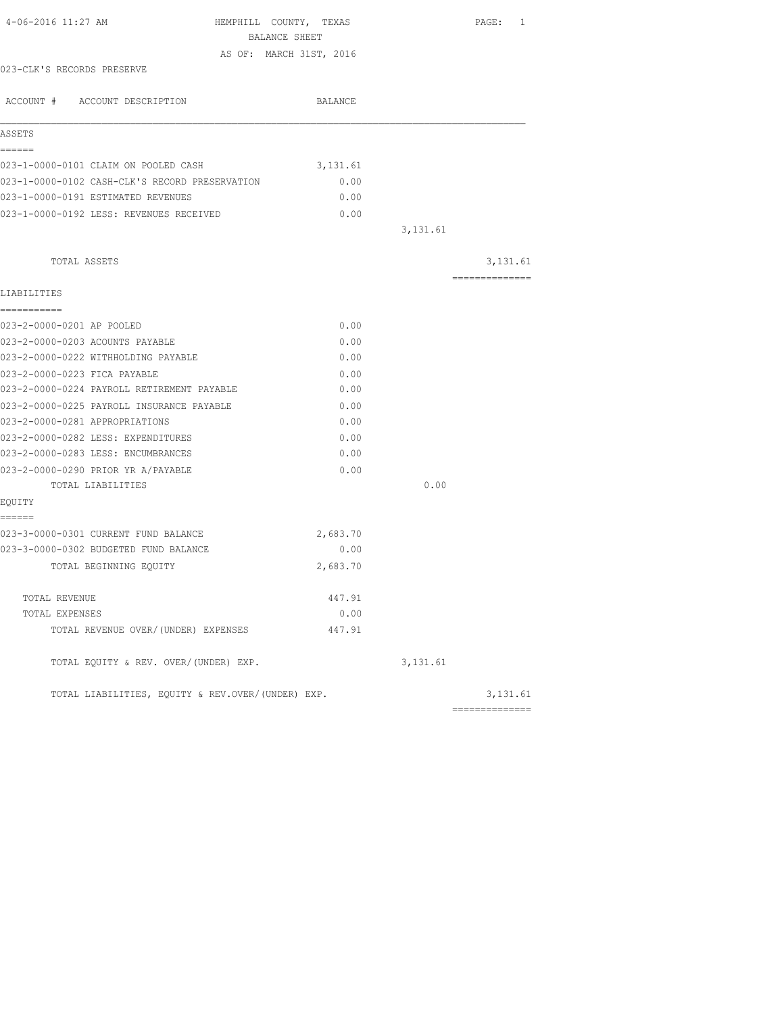| 4-06-2016 11:27 AM                                | HEMPHILL COUNTY, TEXAS<br>BALANCE SHEET |          | PAGE: 1        |
|---------------------------------------------------|-----------------------------------------|----------|----------------|
|                                                   | AS OF: MARCH 31ST, 2016                 |          |                |
| 023-CLK'S RECORDS PRESERVE                        |                                         |          |                |
|                                                   |                                         |          |                |
| ACCOUNT # ACCOUNT DESCRIPTION                     | BALANCE                                 |          |                |
| ASSETS                                            |                                         |          |                |
| ======                                            |                                         |          |                |
| 023-1-0000-0101 CLAIM ON POOLED CASH              | 3,131.61                                |          |                |
| 023-1-0000-0102 CASH-CLK'S RECORD PRESERVATION    | 0.00                                    |          |                |
| 023-1-0000-0191 ESTIMATED REVENUES                | 0.00                                    |          |                |
| 023-1-0000-0192 LESS: REVENUES RECEIVED           | 0.00                                    |          |                |
|                                                   |                                         | 3,131.61 |                |
| TOTAL ASSETS                                      |                                         |          | 3,131.61       |
| LIABILITIES                                       |                                         |          | ============== |
| ===========                                       |                                         |          |                |
| 023-2-0000-0201 AP POOLED                         | 0.00                                    |          |                |
| 023-2-0000-0203 ACOUNTS PAYABLE                   | 0.00                                    |          |                |
| 023-2-0000-0222 WITHHOLDING PAYABLE               | 0.00                                    |          |                |
| 023-2-0000-0223 FICA PAYABLE                      | 0.00                                    |          |                |
| 023-2-0000-0224 PAYROLL RETIREMENT PAYABLE        | 0.00                                    |          |                |
| 023-2-0000-0225 PAYROLL INSURANCE PAYABLE         | 0.00                                    |          |                |
| 023-2-0000-0281 APPROPRIATIONS                    | 0.00                                    |          |                |
| 023-2-0000-0282 LESS: EXPENDITURES                | 0.00                                    |          |                |
| 023-2-0000-0283 LESS: ENCUMBRANCES                | 0.00                                    |          |                |
| 023-2-0000-0290 PRIOR YR A/PAYABLE                | 0.00                                    |          |                |
| TOTAL LIABILITIES                                 |                                         | 0.00     |                |
| EQUITY                                            |                                         |          |                |
| ======<br>023-3-0000-0301 CURRENT FUND BALANCE    | 2,683.70                                |          |                |
| 023-3-0000-0302 BUDGETED FUND BALANCE             | 0.00                                    |          |                |
|                                                   | 2,683.70                                |          |                |
| TOTAL BEGINNING EQUITY                            |                                         |          |                |
| TOTAL REVENUE                                     | 447.91                                  |          |                |
| TOTAL EXPENSES                                    | 0.00                                    |          |                |
| TOTAL REVENUE OVER/(UNDER) EXPENSES               | 447.91                                  |          |                |
| TOTAL EQUITY & REV. OVER/(UNDER) EXP.             |                                         | 3,131.61 |                |
| TOTAL LIABILITIES, EOUITY & REV.OVER/(UNDER) EXP. |                                         |          | 3,131.61       |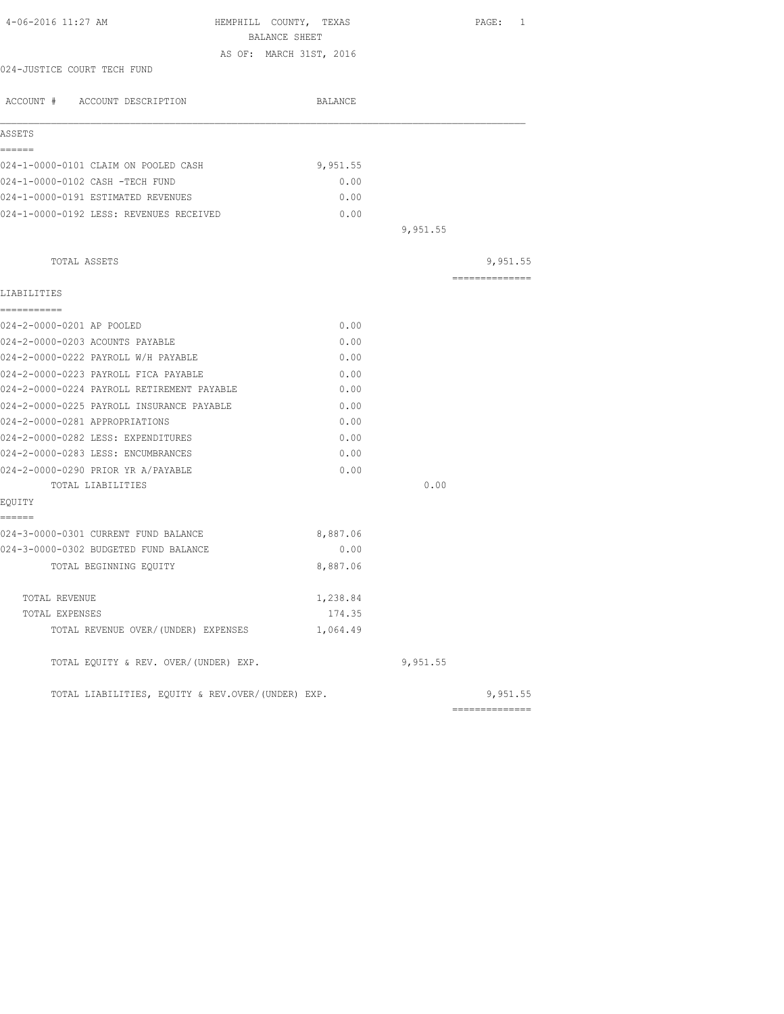| 4-06-2016 11:27 AM                                | HEMPHILL COUNTY, TEXAS  |          | PAGE: 1        |
|---------------------------------------------------|-------------------------|----------|----------------|
|                                                   | BALANCE SHEET           |          |                |
|                                                   | AS OF: MARCH 31ST, 2016 |          |                |
| 024-JUSTICE COURT TECH FUND                       |                         |          |                |
| ACCOUNT # ACCOUNT DESCRIPTION                     | BALANCE                 |          |                |
| ASSETS                                            |                         |          |                |
| ======                                            |                         |          |                |
| 024-1-0000-0101 CLAIM ON POOLED CASH              | 9,951.55                |          |                |
| 024-1-0000-0102 CASH -TECH FUND                   | 0.00                    |          |                |
| 024-1-0000-0191 ESTIMATED REVENUES                | 0.00                    |          |                |
| 024-1-0000-0192 LESS: REVENUES RECEIVED           | 0.00                    |          |                |
|                                                   |                         | 9,951.55 |                |
| TOTAL ASSETS                                      |                         |          | 9,951.55       |
|                                                   |                         |          | -------------- |
| LIABILITIES                                       |                         |          |                |
| ===========                                       |                         |          |                |
| 024-2-0000-0201 AP POOLED                         | 0.00                    |          |                |
| 024-2-0000-0203 ACOUNTS PAYABLE                   | 0.00                    |          |                |
| 024-2-0000-0222 PAYROLL W/H PAYABLE               | 0.00                    |          |                |
| 024-2-0000-0223 PAYROLL FICA PAYABLE              | 0.00                    |          |                |
| 024-2-0000-0224 PAYROLL RETIREMENT PAYABLE        | 0.00                    |          |                |
| 024-2-0000-0225 PAYROLL INSURANCE PAYABLE         | 0.00                    |          |                |
| 024-2-0000-0281 APPROPRIATIONS                    | 0.00                    |          |                |
| 024-2-0000-0282 LESS: EXPENDITURES                | 0.00                    |          |                |
| 024-2-0000-0283 LESS: ENCUMBRANCES                | 0.00                    |          |                |
| 024-2-0000-0290 PRIOR YR A/PAYABLE                | 0.00                    |          |                |
| TOTAL LIABILITIES                                 |                         | 0.00     |                |
| EOUITY                                            |                         |          |                |
| ======                                            |                         |          |                |
| 024-3-0000-0301 CURRENT FUND BALANCE              | 8,887.06                |          |                |
| 024-3-0000-0302 BUDGETED FUND BALANCE             | 0.00                    |          |                |
| TOTAL BEGINNING EQUITY                            | 8,887.06                |          |                |
| TOTAL REVENUE                                     | 1,238.84                |          |                |
| TOTAL EXPENSES                                    | 174.35                  |          |                |
| TOTAL REVENUE OVER/(UNDER) EXPENSES               | 1,064.49                |          |                |
| TOTAL EQUITY & REV. OVER/(UNDER) EXP.             |                         | 9,951.55 |                |
| TOTAL LIABILITIES, EQUITY & REV.OVER/(UNDER) EXP. |                         |          | 9,951.55       |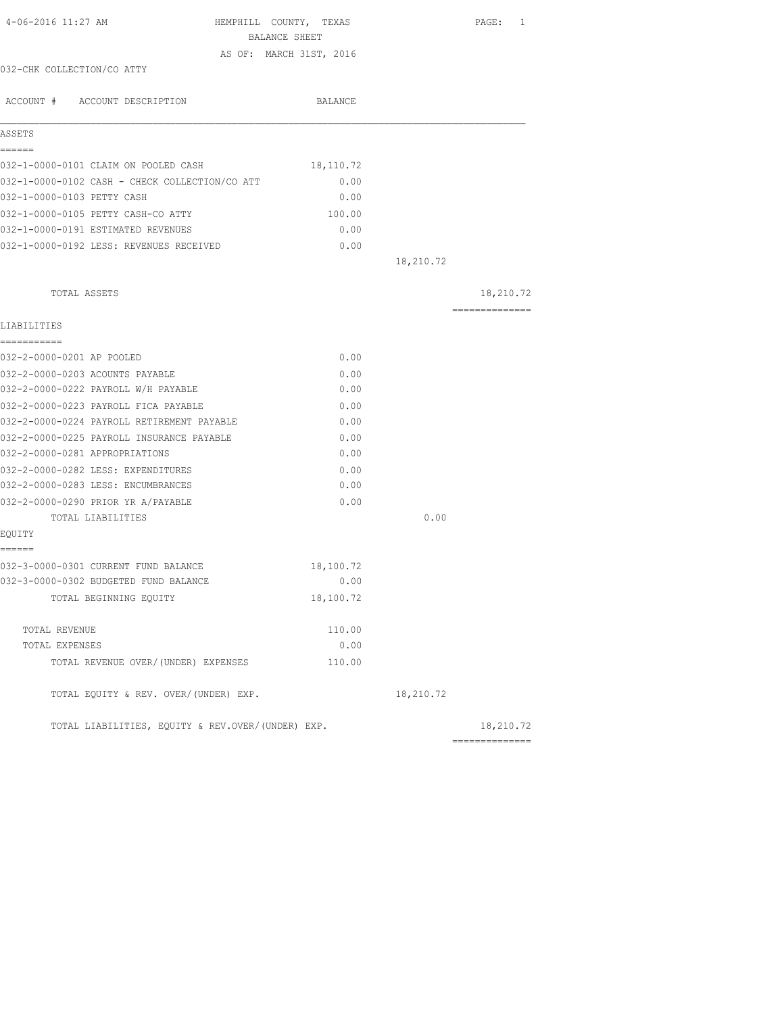| 4-06-2016 11:27 AM                                | HEMPHILL COUNTY, TEXAS<br>BALANCE SHEET |           | PAGE: 1        |
|---------------------------------------------------|-----------------------------------------|-----------|----------------|
|                                                   | AS OF: MARCH 31ST, 2016                 |           |                |
| 032-CHK COLLECTION/CO ATTY                        |                                         |           |                |
| ACCOUNT # ACCOUNT DESCRIPTION                     | BALANCE                                 |           |                |
| ASSETS                                            |                                         |           |                |
| ======<br>032-1-0000-0101 CLAIM ON POOLED CASH    | 18,110.72                               |           |                |
| 032-1-0000-0102 CASH - CHECK COLLECTION/CO ATT    | 0.00                                    |           |                |
| 032-1-0000-0103 PETTY CASH                        | 0.00                                    |           |                |
| 032-1-0000-0105 PETTY CASH-CO ATTY                | 100.00                                  |           |                |
| 032-1-0000-0191 ESTIMATED REVENUES                | 0.00                                    |           |                |
| 032-1-0000-0192 LESS: REVENUES RECEIVED           | 0.00                                    |           |                |
|                                                   |                                         | 18,210.72 |                |
| TOTAL ASSETS                                      |                                         |           | 18,210.72      |
|                                                   |                                         |           | ============== |
| LIABILITIES                                       |                                         |           |                |
| 032-2-0000-0201 AP POOLED                         | 0.00                                    |           |                |
| 032-2-0000-0203 ACOUNTS PAYABLE                   | 0.00                                    |           |                |
| 032-2-0000-0222 PAYROLL W/H PAYABLE               | 0.00                                    |           |                |
| 032-2-0000-0223 PAYROLL FICA PAYABLE              | 0.00                                    |           |                |
| 032-2-0000-0224 PAYROLL RETIREMENT PAYABLE        | 0.00                                    |           |                |
| 032-2-0000-0225 PAYROLL INSURANCE PAYABLE         | 0.00                                    |           |                |
| 032-2-0000-0281 APPROPRIATIONS                    | 0.00                                    |           |                |
| 032-2-0000-0282 LESS: EXPENDITURES                | 0.00                                    |           |                |
| 032-2-0000-0283 LESS: ENCUMBRANCES                | 0.00                                    |           |                |
| 032-2-0000-0290 PRIOR YR A/PAYABLE                | 0.00                                    |           |                |
| TOTAL LIABILITIES                                 |                                         | 0.00      |                |
| EQUITY                                            |                                         |           |                |
| ======<br>032-3-0000-0301 CURRENT FUND BALANCE    | 18,100.72                               |           |                |
| 032-3-0000-0302 BUDGETED FUND BALANCE             | 0.00                                    |           |                |
| TOTAL BEGINNING EQUITY                            | 18,100.72                               |           |                |
| TOTAL REVENUE                                     | 110.00                                  |           |                |
| TOTAL EXPENSES                                    | 0.00                                    |           |                |
| TOTAL REVENUE OVER/(UNDER) EXPENSES               | 110.00                                  |           |                |
| TOTAL EQUITY & REV. OVER/(UNDER) EXP.             |                                         | 18,210.72 |                |
| TOTAL LIABILITIES, EQUITY & REV.OVER/(UNDER) EXP. |                                         |           | 18,210.72      |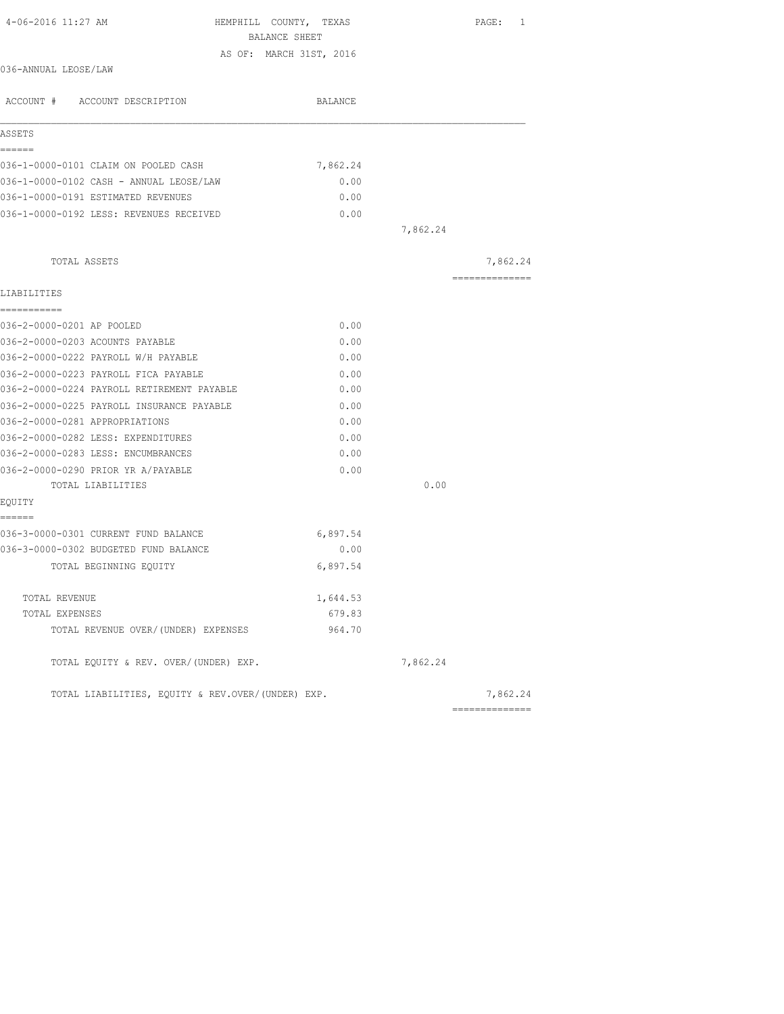| 4-06-2016 11:27 AM<br>HEMPHILL COUNTY, TEXAS      |          |          | PAGE: 1         |
|---------------------------------------------------|----------|----------|-----------------|
| BALANCE SHEET                                     |          |          |                 |
| AS OF: MARCH 31ST, 2016                           |          |          |                 |
| 036-ANNUAL LEOSE/LAW                              |          |          |                 |
| ACCOUNT # ACCOUNT DESCRIPTION                     | BALANCE  |          |                 |
| ASSETS                                            |          |          |                 |
| ======                                            |          |          |                 |
| 036-1-0000-0101 CLAIM ON POOLED CASH              | 7,862.24 |          |                 |
| 036-1-0000-0102 CASH - ANNUAL LEOSE/LAW           | 0.00     |          |                 |
| 036-1-0000-0191 ESTIMATED REVENUES                | 0.00     |          |                 |
| 036-1-0000-0192 LESS: REVENUES RECEIVED           | 0.00     | 7,862.24 |                 |
|                                                   |          |          |                 |
| TOTAL ASSETS                                      |          |          | 7,862.24        |
| LIABILITIES                                       |          |          | --------------- |
| ===========                                       |          |          |                 |
| 036-2-0000-0201 AP POOLED                         | 0.00     |          |                 |
| 036-2-0000-0203 ACOUNTS PAYABLE                   | 0.00     |          |                 |
| 036-2-0000-0222 PAYROLL W/H PAYABLE               | 0.00     |          |                 |
| 036-2-0000-0223 PAYROLL FICA PAYABLE              | 0.00     |          |                 |
| 036-2-0000-0224 PAYROLL RETIREMENT PAYABLE        | 0.00     |          |                 |
| 036-2-0000-0225 PAYROLL INSURANCE PAYABLE         | 0.00     |          |                 |
| 036-2-0000-0281 APPROPRIATIONS                    | 0.00     |          |                 |
| 036-2-0000-0282 LESS: EXPENDITURES                | 0.00     |          |                 |
| 036-2-0000-0283 LESS: ENCUMBRANCES                | 0.00     |          |                 |
| 036-2-0000-0290 PRIOR YR A/PAYABLE                | 0.00     |          |                 |
| TOTAL LIABILITIES                                 |          | 0.00     |                 |
| EQUITY                                            |          |          |                 |
| ------                                            |          |          |                 |
| 036-3-0000-0301 CURRENT FUND BALANCE              | 6,897.54 |          |                 |
| 036-3-0000-0302 BUDGETED FUND BALANCE             | 0.00     |          |                 |
| TOTAL BEGINNING EQUITY                            | 6,897.54 |          |                 |
| TOTAL REVENUE                                     | 1,644.53 |          |                 |
| TOTAL EXPENSES                                    | 679.83   |          |                 |
| TOTAL REVENUE OVER/(UNDER) EXPENSES               | 964.70   |          |                 |
| TOTAL EQUITY & REV. OVER/(UNDER) EXP.             |          | 7,862.24 |                 |
| TOTAL LIABILITIES, EQUITY & REV.OVER/(UNDER) EXP. |          |          | 7,862.24        |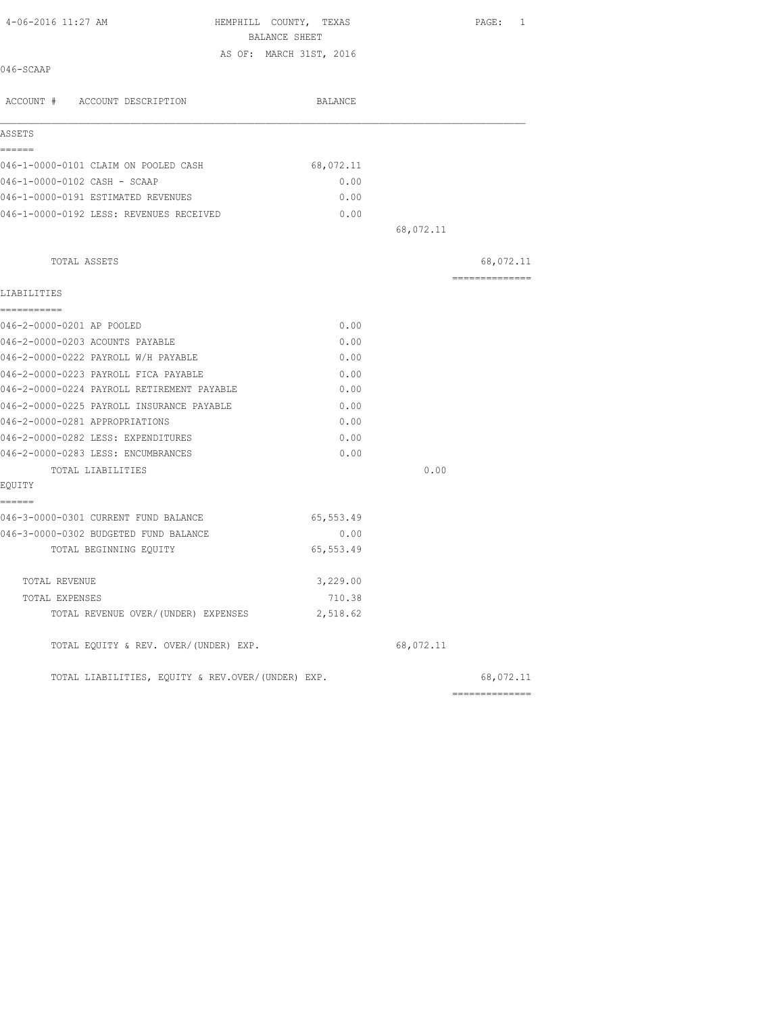| 4-06-2016 11:27 AM                                | HEMPHILL COUNTY, TEXAS  |           | PAGE: 1         |
|---------------------------------------------------|-------------------------|-----------|-----------------|
|                                                   | BALANCE SHEET           |           |                 |
| 046-SCAAP                                         | AS OF: MARCH 31ST, 2016 |           |                 |
|                                                   |                         |           |                 |
| ACCOUNT # ACCOUNT DESCRIPTION                     | BALANCE                 |           |                 |
| ASSETS                                            |                         |           |                 |
| ======<br>046-1-0000-0101 CLAIM ON POOLED CASH    | 68,072.11               |           |                 |
| 046-1-0000-0102 CASH - SCAAP                      | 0.00                    |           |                 |
| 046-1-0000-0191 ESTIMATED REVENUES                | 0.00                    |           |                 |
| 046-1-0000-0192 LESS: REVENUES RECEIVED           | 0.00                    |           |                 |
|                                                   |                         | 68,072.11 |                 |
| TOTAL ASSETS                                      |                         |           | 68,072.11       |
|                                                   |                         |           | --------------- |
| LIABILITIES                                       |                         |           |                 |
| ===========<br>046-2-0000-0201 AP POOLED          | 0.00                    |           |                 |
| 046-2-0000-0203 ACOUNTS PAYABLE                   | 0.00                    |           |                 |
| 046-2-0000-0222 PAYROLL W/H PAYABLE               | 0.00                    |           |                 |
| 046-2-0000-0223 PAYROLL FICA PAYABLE              | 0.00                    |           |                 |
| 046-2-0000-0224 PAYROLL RETIREMENT PAYABLE        | 0.00                    |           |                 |
| 046-2-0000-0225 PAYROLL INSURANCE PAYABLE         | 0.00                    |           |                 |
| 046-2-0000-0281 APPROPRIATIONS                    | 0.00                    |           |                 |
| 046-2-0000-0282 LESS: EXPENDITURES                | 0.00                    |           |                 |
| 046-2-0000-0283 LESS: ENCUMBRANCES                | 0.00                    |           |                 |
| TOTAL LIABILITIES                                 |                         | 0.00      |                 |
| EQUITY<br>------                                  |                         |           |                 |
| 046-3-0000-0301 CURRENT FUND BALANCE              | 65,553.49               |           |                 |
| 046-3-0000-0302 BUDGETED FUND BALANCE             | 0.00                    |           |                 |
| TOTAL BEGINNING EOUITY                            | 65, 553.49              |           |                 |
| TOTAL REVENUE                                     | 3,229.00                |           |                 |
| TOTAL EXPENSES                                    | 710.38                  |           |                 |
| TOTAL REVENUE OVER/(UNDER) EXPENSES               | 2,518.62                |           |                 |
| TOTAL EQUITY & REV. OVER/(UNDER) EXP.             |                         | 68,072.11 |                 |
| TOTAL LIABILITIES, EOUITY & REV.OVER/(UNDER) EXP. |                         |           | 68,072.11       |
|                                                   |                         |           | ==============  |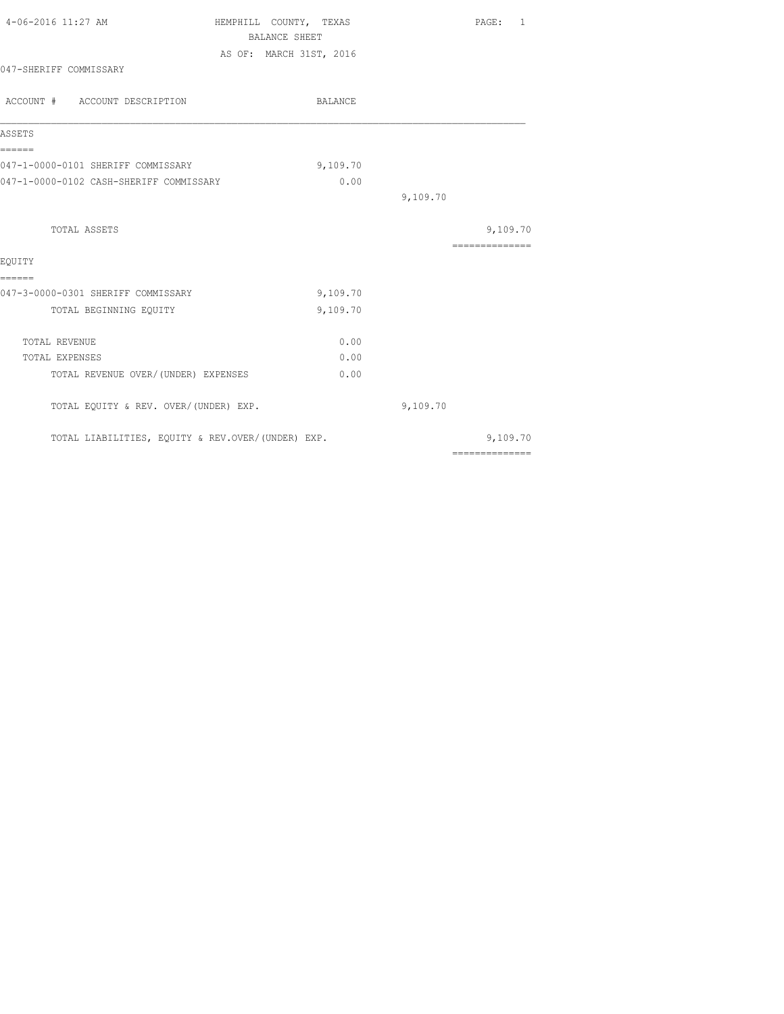| 4-06-2016 11:27 AM                                | HEMPHILL COUNTY, TEXAS  |          | PAGE: 1         |
|---------------------------------------------------|-------------------------|----------|-----------------|
|                                                   | BALANCE SHEET           |          |                 |
|                                                   | AS OF: MARCH 31ST, 2016 |          |                 |
| 047-SHERIFF COMMISSARY                            |                         |          |                 |
| ACCOUNT # ACCOUNT DESCRIPTION                     | BALANCE                 |          |                 |
| ASSETS                                            |                         |          |                 |
| ======<br>047-1-0000-0101 SHERIFF COMMISSARY      | 9,109.70                |          |                 |
| 047-1-0000-0102 CASH-SHERIFF COMMISSARY           | 0.00                    |          |                 |
|                                                   |                         | 9,109.70 |                 |
| <b>TOTAL ASSETS</b>                               |                         |          | 9,109.70        |
|                                                   |                         |          | --------------- |
| EQUITY                                            |                         |          |                 |
| ======<br>047-3-0000-0301 SHERIFF COMMISSARY      | 9,109.70                |          |                 |
| TOTAL BEGINNING EQUITY                            | 9,109.70                |          |                 |
|                                                   |                         |          |                 |
| TOTAL REVENUE                                     | 0.00                    |          |                 |
| TOTAL EXPENSES                                    | 0.00                    |          |                 |
| TOTAL REVENUE OVER/(UNDER) EXPENSES               | 0.00                    |          |                 |
| TOTAL EQUITY & REV. OVER/(UNDER) EXP.             |                         | 9,109.70 |                 |
| TOTAL LIABILITIES, EQUITY & REV.OVER/(UNDER) EXP. |                         |          | 9,109.70        |
|                                                   |                         |          | ==============  |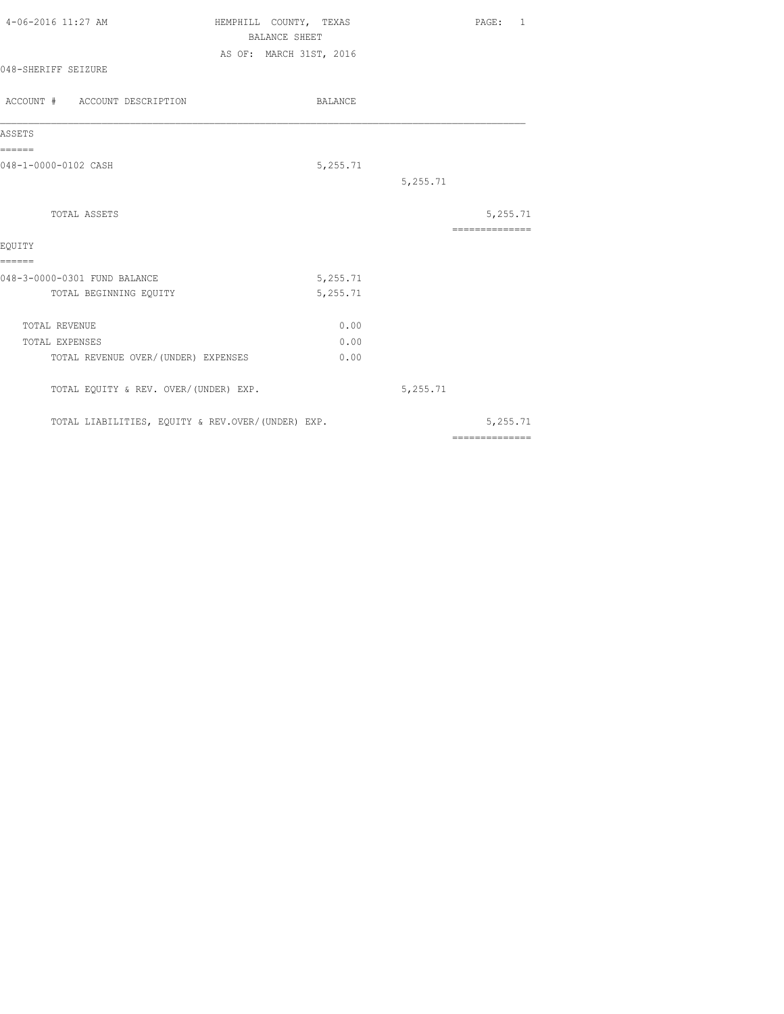| 4-06-2016 11:27 AM                                | HEMPHILL COUNTY, TEXAS<br><b>BALANCE SHEET</b> | PAGE: 1                                                                                                                                                                                                                                                                                                                                                                                                                                                                                |
|---------------------------------------------------|------------------------------------------------|----------------------------------------------------------------------------------------------------------------------------------------------------------------------------------------------------------------------------------------------------------------------------------------------------------------------------------------------------------------------------------------------------------------------------------------------------------------------------------------|
|                                                   | AS OF: MARCH 31ST, 2016                        |                                                                                                                                                                                                                                                                                                                                                                                                                                                                                        |
| 048-SHERIFF SEIZURE                               |                                                |                                                                                                                                                                                                                                                                                                                                                                                                                                                                                        |
| ACCOUNT # ACCOUNT DESCRIPTION                     | BALANCE                                        |                                                                                                                                                                                                                                                                                                                                                                                                                                                                                        |
| ASSETS                                            |                                                |                                                                                                                                                                                                                                                                                                                                                                                                                                                                                        |
| ======<br>048-1-0000-0102 CASH                    | 5,255.71                                       |                                                                                                                                                                                                                                                                                                                                                                                                                                                                                        |
|                                                   |                                                | 5,255.71                                                                                                                                                                                                                                                                                                                                                                                                                                                                               |
| TOTAL ASSETS                                      |                                                | 5,255.71                                                                                                                                                                                                                                                                                                                                                                                                                                                                               |
|                                                   |                                                | $\begin{array}{cccccccccccccc} \multicolumn{2}{c}{} & \multicolumn{2}{c}{} & \multicolumn{2}{c}{} & \multicolumn{2}{c}{} & \multicolumn{2}{c}{} & \multicolumn{2}{c}{} & \multicolumn{2}{c}{} & \multicolumn{2}{c}{} & \multicolumn{2}{c}{} & \multicolumn{2}{c}{} & \multicolumn{2}{c}{} & \multicolumn{2}{c}{} & \multicolumn{2}{c}{} & \multicolumn{2}{c}{} & \multicolumn{2}{c}{} & \multicolumn{2}{c}{} & \multicolumn{2}{c}{} & \multicolumn{2}{c}{} & \multicolumn{2}{c}{} & \$ |
| EOUITY<br>======                                  |                                                |                                                                                                                                                                                                                                                                                                                                                                                                                                                                                        |
| 048-3-0000-0301 FUND BALANCE                      | 5,255.71                                       |                                                                                                                                                                                                                                                                                                                                                                                                                                                                                        |
| TOTAL BEGINNING EQUITY                            | 5,255.71                                       |                                                                                                                                                                                                                                                                                                                                                                                                                                                                                        |
| TOTAL REVENUE                                     | 0.00                                           |                                                                                                                                                                                                                                                                                                                                                                                                                                                                                        |
| TOTAL EXPENSES                                    | 0.00                                           |                                                                                                                                                                                                                                                                                                                                                                                                                                                                                        |
| TOTAL REVENUE OVER/(UNDER) EXPENSES               | 0.00                                           |                                                                                                                                                                                                                                                                                                                                                                                                                                                                                        |
| TOTAL EQUITY & REV. OVER/(UNDER) EXP.             |                                                | 5,255.71                                                                                                                                                                                                                                                                                                                                                                                                                                                                               |
| TOTAL LIABILITIES, EQUITY & REV.OVER/(UNDER) EXP. |                                                | 5,255.71                                                                                                                                                                                                                                                                                                                                                                                                                                                                               |
|                                                   |                                                | $\begin{array}{cccccccccccccc} \multicolumn{2}{c}{} & \multicolumn{2}{c}{} & \multicolumn{2}{c}{} & \multicolumn{2}{c}{} & \multicolumn{2}{c}{} & \multicolumn{2}{c}{} & \multicolumn{2}{c}{} & \multicolumn{2}{c}{} & \multicolumn{2}{c}{} & \multicolumn{2}{c}{} & \multicolumn{2}{c}{} & \multicolumn{2}{c}{} & \multicolumn{2}{c}{} & \multicolumn{2}{c}{} & \multicolumn{2}{c}{} & \multicolumn{2}{c}{} & \multicolumn{2}{c}{} & \multicolumn{2}{c}{} & \multicolumn{2}{c}{} & \$ |